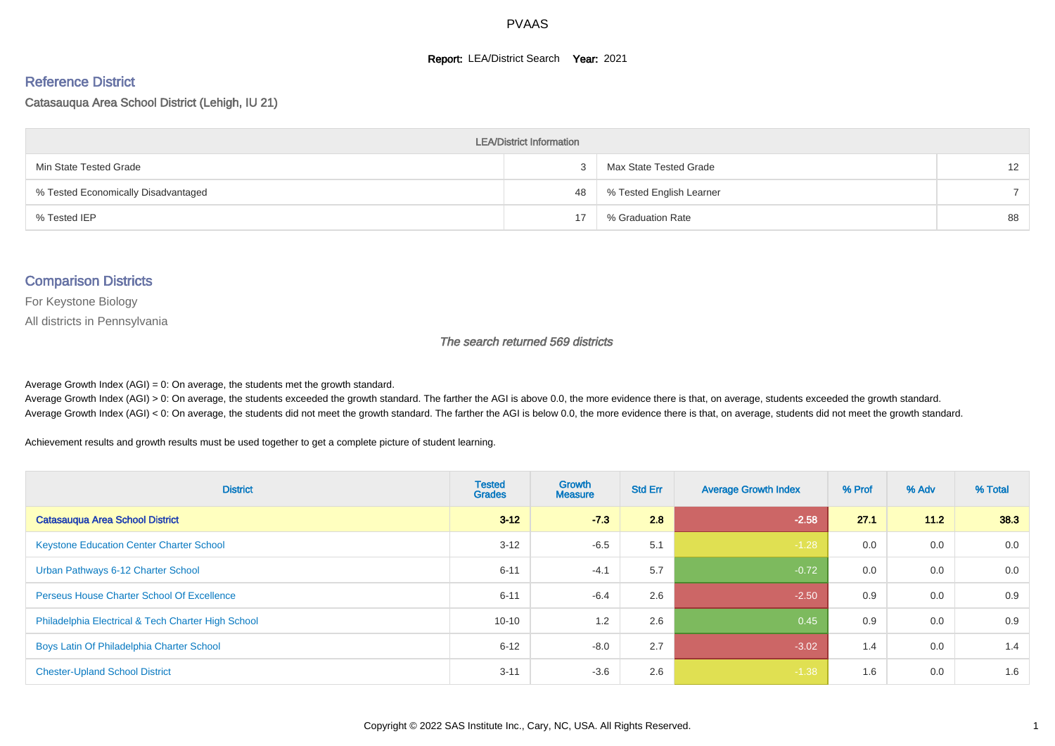#### **Report: LEA/District Search Year: 2021**

# Reference District

#### Catasauqua Area School District (Lehigh, IU 21)

| <b>LEA/District Information</b>     |    |                          |                   |  |  |  |  |  |  |  |
|-------------------------------------|----|--------------------------|-------------------|--|--|--|--|--|--|--|
| Min State Tested Grade              |    | Max State Tested Grade   | $12 \overline{ }$ |  |  |  |  |  |  |  |
| % Tested Economically Disadvantaged | 48 | % Tested English Learner |                   |  |  |  |  |  |  |  |
| % Tested IEP                        | 17 | % Graduation Rate        | 88                |  |  |  |  |  |  |  |

#### Comparison Districts

For Keystone Biology

All districts in Pennsylvania

The search returned 569 districts

Average Growth Index  $(AGI) = 0$ : On average, the students met the growth standard.

Average Growth Index (AGI) > 0: On average, the students exceeded the growth standard. The farther the AGI is above 0.0, the more evidence there is that, on average, students exceeded the growth standard. Average Growth Index (AGI) < 0: On average, the students did not meet the growth standard. The farther the AGI is below 0.0, the more evidence there is that, on average, students did not meet the growth standard.

Achievement results and growth results must be used together to get a complete picture of student learning.

| <b>District</b>                                    | <b>Tested</b><br><b>Grades</b> | <b>Growth</b><br><b>Measure</b> | <b>Std Err</b> | <b>Average Growth Index</b> | % Prof | % Adv  | % Total |
|----------------------------------------------------|--------------------------------|---------------------------------|----------------|-----------------------------|--------|--------|---------|
| <b>Catasauqua Area School District</b>             | $3 - 12$                       | $-73$                           | 2.8            | $-2.58$                     | 27.1   | $11.2$ | 38.3    |
| <b>Keystone Education Center Charter School</b>    | $3 - 12$                       | $-6.5$                          | 5.1            | $-1.28$                     | 0.0    | 0.0    | 0.0     |
| Urban Pathways 6-12 Charter School                 | $6 - 11$                       | $-4.1$                          | 5.7            | $-0.72$                     | 0.0    | 0.0    | 0.0     |
| <b>Perseus House Charter School Of Excellence</b>  | $6 - 11$                       | $-6.4$                          | 2.6            | $-2.50$                     | 0.9    | 0.0    | 0.9     |
| Philadelphia Electrical & Tech Charter High School | $10 - 10$                      | 1.2                             | 2.6            | 0.45                        | 0.9    | 0.0    | 0.9     |
| Boys Latin Of Philadelphia Charter School          | $6 - 12$                       | $-8.0$                          | 2.7            | $-3.02$                     | 1.4    | 0.0    | 1.4     |
| <b>Chester-Upland School District</b>              | $3 - 11$                       | $-3.6$                          | 2.6            | $-1.38$                     | 1.6    | 0.0    | 1.6     |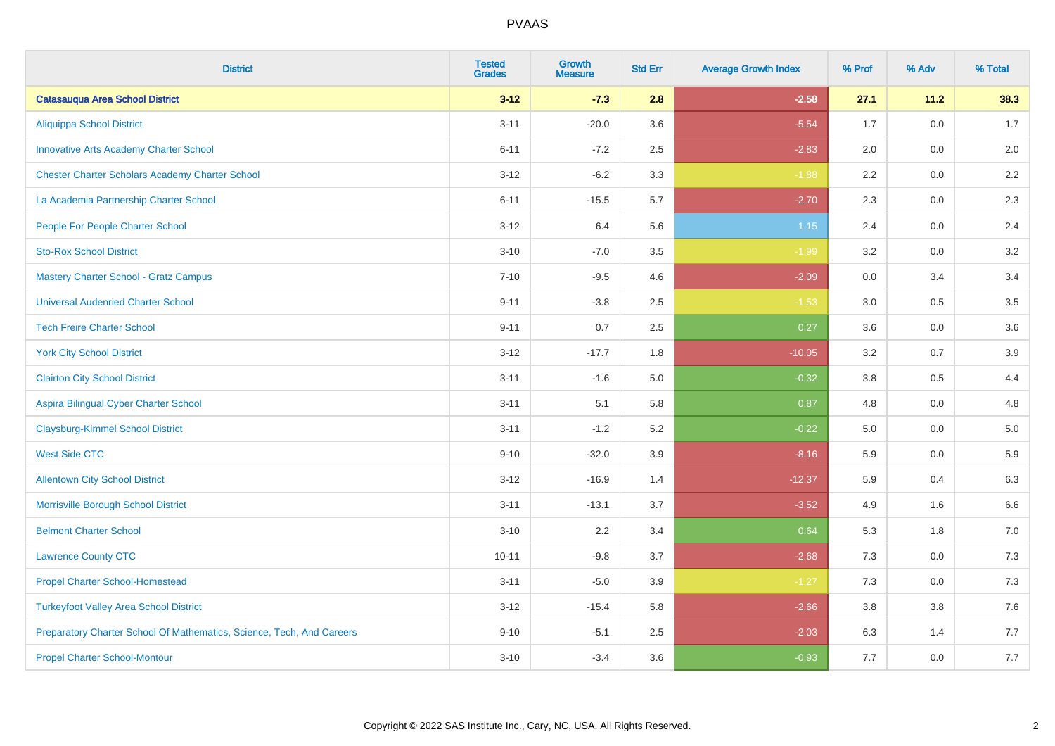| <b>District</b>                                                       | <b>Tested</b><br><b>Grades</b> | <b>Growth</b><br><b>Measure</b> | <b>Std Err</b> | <b>Average Growth Index</b> | % Prof | % Adv   | % Total |
|-----------------------------------------------------------------------|--------------------------------|---------------------------------|----------------|-----------------------------|--------|---------|---------|
| <b>Catasauqua Area School District</b>                                | $3 - 12$                       | $-7.3$                          | 2.8            | $-2.58$                     | 27.1   | 11.2    | 38.3    |
| <b>Aliquippa School District</b>                                      | $3 - 11$                       | $-20.0$                         | 3.6            | $-5.54$                     | 1.7    | $0.0\,$ | 1.7     |
| <b>Innovative Arts Academy Charter School</b>                         | $6 - 11$                       | $-7.2$                          | 2.5            | $-2.83$                     | 2.0    | 0.0     | 2.0     |
| <b>Chester Charter Scholars Academy Charter School</b>                | $3 - 12$                       | $-6.2$                          | 3.3            | $-1.88$                     | 2.2    | $0.0\,$ | 2.2     |
| La Academia Partnership Charter School                                | $6 - 11$                       | $-15.5$                         | 5.7            | $-2.70$                     | 2.3    | 0.0     | 2.3     |
| People For People Charter School                                      | $3 - 12$                       | 6.4                             | 5.6            | $1.15$                      | 2.4    | 0.0     | 2.4     |
| <b>Sto-Rox School District</b>                                        | $3 - 10$                       | $-7.0$                          | 3.5            | $-1.99$                     | 3.2    | 0.0     | 3.2     |
| <b>Mastery Charter School - Gratz Campus</b>                          | $7 - 10$                       | $-9.5$                          | 4.6            | $-2.09$                     | 0.0    | 3.4     | 3.4     |
| <b>Universal Audenried Charter School</b>                             | $9 - 11$                       | $-3.8$                          | 2.5            | $-1.53$                     | 3.0    | 0.5     | 3.5     |
| <b>Tech Freire Charter School</b>                                     | $9 - 11$                       | 0.7                             | 2.5            | 0.27                        | 3.6    | 0.0     | 3.6     |
| <b>York City School District</b>                                      | $3 - 12$                       | $-17.7$                         | 1.8            | $-10.05$                    | 3.2    | 0.7     | 3.9     |
| <b>Clairton City School District</b>                                  | $3 - 11$                       | $-1.6$                          | 5.0            | $-0.32$                     | 3.8    | 0.5     | 4.4     |
| Aspira Bilingual Cyber Charter School                                 | $3 - 11$                       | 5.1                             | 5.8            | 0.87                        | 4.8    | $0.0\,$ | 4.8     |
| <b>Claysburg-Kimmel School District</b>                               | $3 - 11$                       | $-1.2$                          | 5.2            | $-0.22$                     | 5.0    | 0.0     | $5.0$   |
| <b>West Side CTC</b>                                                  | $9 - 10$                       | $-32.0$                         | 3.9            | $-8.16$                     | 5.9    | 0.0     | 5.9     |
| <b>Allentown City School District</b>                                 | $3 - 12$                       | $-16.9$                         | 1.4            | $-12.37$                    | 5.9    | 0.4     | 6.3     |
| Morrisville Borough School District                                   | $3 - 11$                       | $-13.1$                         | 3.7            | $-3.52$                     | 4.9    | 1.6     | 6.6     |
| <b>Belmont Charter School</b>                                         | $3 - 10$                       | 2.2                             | 3.4            | 0.64                        | 5.3    | 1.8     | $7.0$   |
| <b>Lawrence County CTC</b>                                            | $10 - 11$                      | $-9.8$                          | 3.7            | $-2.68$                     | 7.3    | 0.0     | $7.3$   |
| <b>Propel Charter School-Homestead</b>                                | $3 - 11$                       | $-5.0$                          | 3.9            | $-1.27$                     | 7.3    | 0.0     | $7.3$   |
| <b>Turkeyfoot Valley Area School District</b>                         | $3 - 12$                       | $-15.4$                         | 5.8            | $-2.66$                     | 3.8    | 3.8     | 7.6     |
| Preparatory Charter School Of Mathematics, Science, Tech, And Careers | $9 - 10$                       | $-5.1$                          | 2.5            | $-2.03$                     | 6.3    | 1.4     | 7.7     |
| <b>Propel Charter School-Montour</b>                                  | $3 - 10$                       | $-3.4$                          | 3.6            | $-0.93$                     | 7.7    | 0.0     | 7.7     |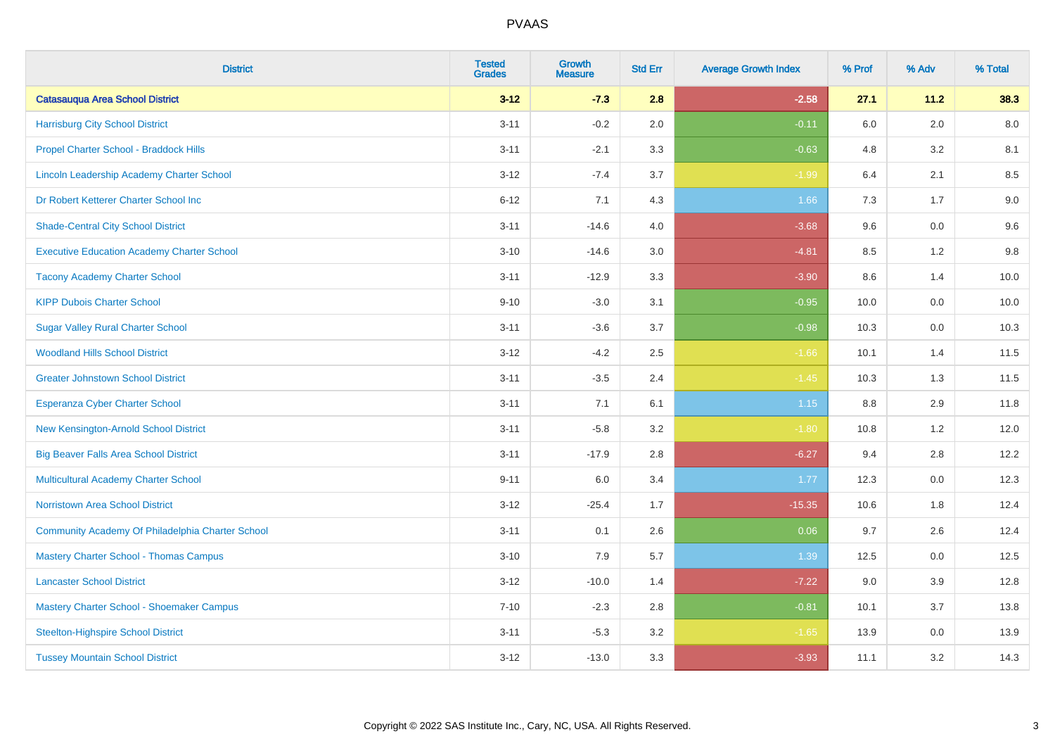| <b>District</b>                                   | <b>Tested</b><br><b>Grades</b> | <b>Growth</b><br><b>Measure</b> | <b>Std Err</b> | <b>Average Growth Index</b> | % Prof | % Adv   | % Total |
|---------------------------------------------------|--------------------------------|---------------------------------|----------------|-----------------------------|--------|---------|---------|
| <b>Catasauqua Area School District</b>            | $3 - 12$                       | $-7.3$                          | 2.8            | $-2.58$                     | 27.1   | 11.2    | 38.3    |
| <b>Harrisburg City School District</b>            | $3 - 11$                       | $-0.2$                          | 2.0            | $-0.11$                     | 6.0    | 2.0     | 8.0     |
| Propel Charter School - Braddock Hills            | $3 - 11$                       | $-2.1$                          | 3.3            | $-0.63$                     | 4.8    | 3.2     | 8.1     |
| Lincoln Leadership Academy Charter School         | $3 - 12$                       | $-7.4$                          | 3.7            | $-1.99$                     | 6.4    | 2.1     | 8.5     |
| Dr Robert Ketterer Charter School Inc             | $6 - 12$                       | 7.1                             | 4.3            | 1.66                        | 7.3    | 1.7     | 9.0     |
| <b>Shade-Central City School District</b>         | $3 - 11$                       | $-14.6$                         | 4.0            | $-3.68$                     | 9.6    | 0.0     | 9.6     |
| <b>Executive Education Academy Charter School</b> | $3 - 10$                       | $-14.6$                         | 3.0            | $-4.81$                     | 8.5    | 1.2     | 9.8     |
| <b>Tacony Academy Charter School</b>              | $3 - 11$                       | $-12.9$                         | 3.3            | $-3.90$                     | 8.6    | 1.4     | 10.0    |
| <b>KIPP Dubois Charter School</b>                 | $9 - 10$                       | $-3.0$                          | 3.1            | $-0.95$                     | 10.0   | 0.0     | 10.0    |
| <b>Sugar Valley Rural Charter School</b>          | $3 - 11$                       | $-3.6$                          | 3.7            | $-0.98$                     | 10.3   | 0.0     | 10.3    |
| <b>Woodland Hills School District</b>             | $3 - 12$                       | $-4.2$                          | 2.5            | $-1.66$                     | 10.1   | 1.4     | 11.5    |
| <b>Greater Johnstown School District</b>          | $3 - 11$                       | $-3.5$                          | 2.4            | $-1.45$                     | 10.3   | 1.3     | 11.5    |
| Esperanza Cyber Charter School                    | $3 - 11$                       | 7.1                             | 6.1            | $1.15$                      | 8.8    | 2.9     | 11.8    |
| New Kensington-Arnold School District             | $3 - 11$                       | $-5.8$                          | 3.2            | $-1.80$                     | 10.8   | 1.2     | 12.0    |
| <b>Big Beaver Falls Area School District</b>      | $3 - 11$                       | $-17.9$                         | 2.8            | $-6.27$                     | 9.4    | 2.8     | 12.2    |
| <b>Multicultural Academy Charter School</b>       | $9 - 11$                       | 6.0                             | 3.4            | 1.77                        | 12.3   | $0.0\,$ | 12.3    |
| <b>Norristown Area School District</b>            | $3 - 12$                       | $-25.4$                         | 1.7            | $-15.35$                    | 10.6   | 1.8     | 12.4    |
| Community Academy Of Philadelphia Charter School  | $3 - 11$                       | 0.1                             | 2.6            | 0.06                        | 9.7    | 2.6     | 12.4    |
| <b>Mastery Charter School - Thomas Campus</b>     | $3 - 10$                       | 7.9                             | 5.7            | 1.39                        | 12.5   | 0.0     | 12.5    |
| <b>Lancaster School District</b>                  | $3 - 12$                       | $-10.0$                         | 1.4            | $-7.22$                     | 9.0    | 3.9     | 12.8    |
| Mastery Charter School - Shoemaker Campus         | $7 - 10$                       | $-2.3$                          | 2.8            | $-0.81$                     | 10.1   | 3.7     | 13.8    |
| <b>Steelton-Highspire School District</b>         | $3 - 11$                       | $-5.3$                          | 3.2            | $-1.65$                     | 13.9   | $0.0\,$ | 13.9    |
| <b>Tussey Mountain School District</b>            | $3 - 12$                       | $-13.0$                         | 3.3            | $-3.93$                     | 11.1   | 3.2     | 14.3    |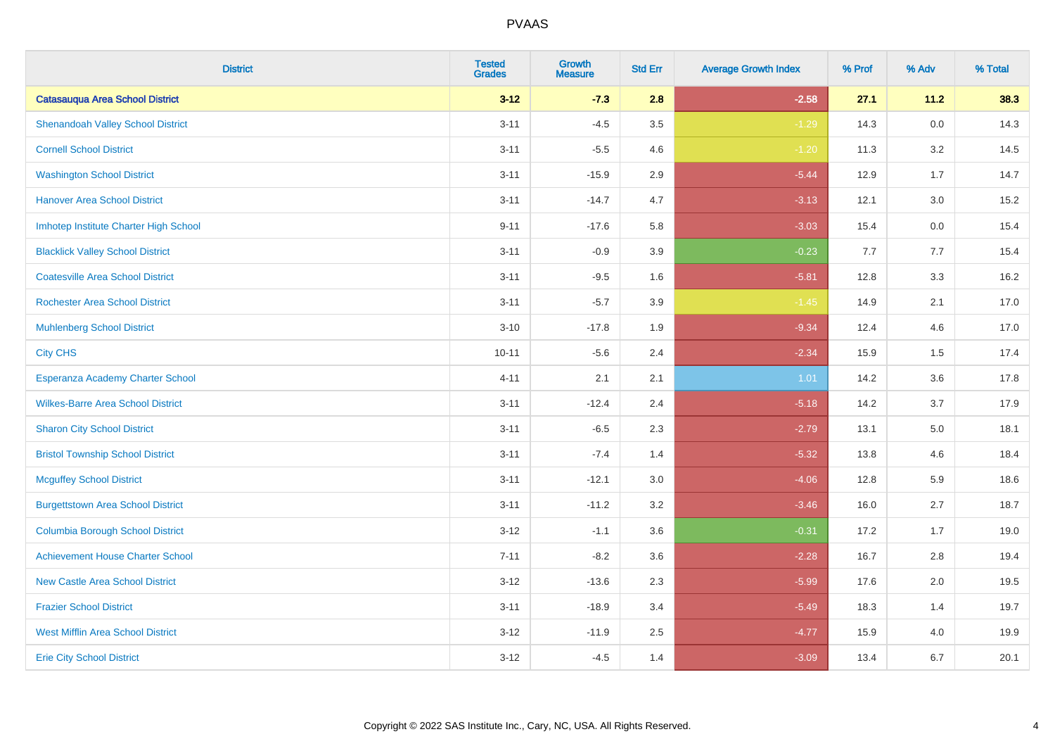| <b>District</b>                          | <b>Tested</b><br><b>Grades</b> | <b>Growth</b><br><b>Measure</b> | <b>Std Err</b> | <b>Average Growth Index</b> | % Prof | % Adv   | % Total |
|------------------------------------------|--------------------------------|---------------------------------|----------------|-----------------------------|--------|---------|---------|
| <b>Catasauqua Area School District</b>   | $3 - 12$                       | $-7.3$                          | 2.8            | $-2.58$                     | 27.1   | 11.2    | 38.3    |
| <b>Shenandoah Valley School District</b> | $3 - 11$                       | $-4.5$                          | 3.5            | $-1.29$                     | 14.3   | $0.0\,$ | 14.3    |
| <b>Cornell School District</b>           | $3 - 11$                       | $-5.5$                          | 4.6            | $-1.20$                     | 11.3   | 3.2     | 14.5    |
| <b>Washington School District</b>        | $3 - 11$                       | $-15.9$                         | 2.9            | $-5.44$                     | 12.9   | 1.7     | 14.7    |
| <b>Hanover Area School District</b>      | $3 - 11$                       | $-14.7$                         | 4.7            | $-3.13$                     | 12.1   | 3.0     | 15.2    |
| Imhotep Institute Charter High School    | $9 - 11$                       | $-17.6$                         | 5.8            | $-3.03$                     | 15.4   | 0.0     | 15.4    |
| <b>Blacklick Valley School District</b>  | $3 - 11$                       | $-0.9$                          | 3.9            | $-0.23$                     | 7.7    | 7.7     | 15.4    |
| <b>Coatesville Area School District</b>  | $3 - 11$                       | $-9.5$                          | 1.6            | $-5.81$                     | 12.8   | 3.3     | 16.2    |
| <b>Rochester Area School District</b>    | $3 - 11$                       | $-5.7$                          | 3.9            | $-1.45$                     | 14.9   | 2.1     | 17.0    |
| <b>Muhlenberg School District</b>        | $3 - 10$                       | $-17.8$                         | 1.9            | $-9.34$                     | 12.4   | 4.6     | 17.0    |
| <b>City CHS</b>                          | $10 - 11$                      | $-5.6$                          | 2.4            | $-2.34$                     | 15.9   | 1.5     | 17.4    |
| Esperanza Academy Charter School         | $4 - 11$                       | 2.1                             | 2.1            | 1.01                        | 14.2   | 3.6     | 17.8    |
| <b>Wilkes-Barre Area School District</b> | $3 - 11$                       | $-12.4$                         | 2.4            | $-5.18$                     | 14.2   | 3.7     | 17.9    |
| <b>Sharon City School District</b>       | $3 - 11$                       | $-6.5$                          | 2.3            | $-2.79$                     | 13.1   | 5.0     | 18.1    |
| <b>Bristol Township School District</b>  | $3 - 11$                       | $-7.4$                          | 1.4            | $-5.32$                     | 13.8   | 4.6     | 18.4    |
| <b>Mcguffey School District</b>          | $3 - 11$                       | $-12.1$                         | 3.0            | $-4.06$                     | 12.8   | 5.9     | 18.6    |
| <b>Burgettstown Area School District</b> | $3 - 11$                       | $-11.2$                         | 3.2            | $-3.46$                     | 16.0   | 2.7     | 18.7    |
| <b>Columbia Borough School District</b>  | $3 - 12$                       | $-1.1$                          | 3.6            | $-0.31$                     | 17.2   | 1.7     | 19.0    |
| <b>Achievement House Charter School</b>  | $7 - 11$                       | $-8.2$                          | 3.6            | $-2.28$                     | 16.7   | 2.8     | 19.4    |
| <b>New Castle Area School District</b>   | $3 - 12$                       | $-13.6$                         | 2.3            | $-5.99$                     | 17.6   | 2.0     | 19.5    |
| <b>Frazier School District</b>           | $3 - 11$                       | $-18.9$                         | 3.4            | $-5.49$                     | 18.3   | 1.4     | 19.7    |
| <b>West Mifflin Area School District</b> | $3 - 12$                       | $-11.9$                         | 2.5            | $-4.77$                     | 15.9   | 4.0     | 19.9    |
| <b>Erie City School District</b>         | $3 - 12$                       | $-4.5$                          | 1.4            | $-3.09$                     | 13.4   | 6.7     | 20.1    |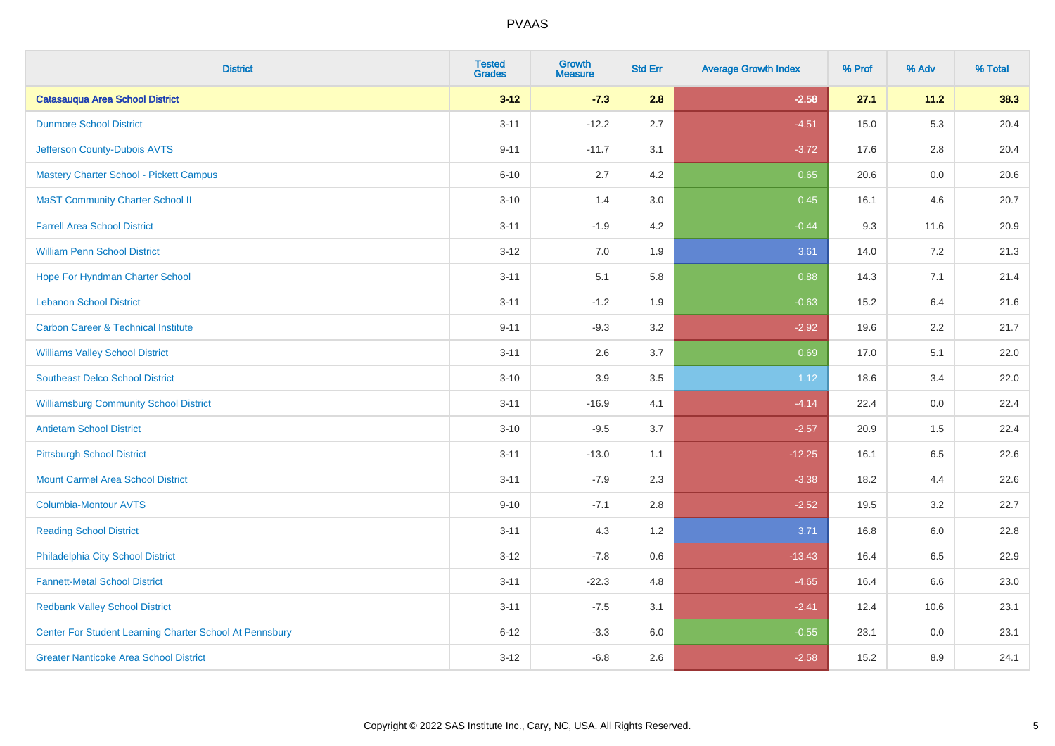| <b>District</b>                                         | <b>Tested</b><br><b>Grades</b> | <b>Growth</b><br><b>Measure</b> | <b>Std Err</b> | <b>Average Growth Index</b> | % Prof | % Adv   | % Total |
|---------------------------------------------------------|--------------------------------|---------------------------------|----------------|-----------------------------|--------|---------|---------|
| <b>Catasauqua Area School District</b>                  | $3 - 12$                       | $-7.3$                          | 2.8            | $-2.58$                     | 27.1   | 11.2    | 38.3    |
| <b>Dunmore School District</b>                          | $3 - 11$                       | $-12.2$                         | 2.7            | $-4.51$                     | 15.0   | 5.3     | 20.4    |
| Jefferson County-Dubois AVTS                            | $9 - 11$                       | $-11.7$                         | 3.1            | $-3.72$                     | 17.6   | 2.8     | 20.4    |
| <b>Mastery Charter School - Pickett Campus</b>          | $6 - 10$                       | 2.7                             | 4.2            | 0.65                        | 20.6   | $0.0\,$ | 20.6    |
| <b>MaST Community Charter School II</b>                 | $3 - 10$                       | 1.4                             | 3.0            | 0.45                        | 16.1   | 4.6     | 20.7    |
| <b>Farrell Area School District</b>                     | $3 - 11$                       | $-1.9$                          | 4.2            | $-0.44$                     | 9.3    | 11.6    | 20.9    |
| <b>William Penn School District</b>                     | $3 - 12$                       | 7.0                             | 1.9            | 3.61                        | 14.0   | 7.2     | 21.3    |
| Hope For Hyndman Charter School                         | $3 - 11$                       | 5.1                             | 5.8            | 0.88                        | 14.3   | 7.1     | 21.4    |
| <b>Lebanon School District</b>                          | $3 - 11$                       | $-1.2$                          | 1.9            | $-0.63$                     | 15.2   | 6.4     | 21.6    |
| <b>Carbon Career &amp; Technical Institute</b>          | $9 - 11$                       | $-9.3$                          | 3.2            | $-2.92$                     | 19.6   | 2.2     | 21.7    |
| <b>Williams Valley School District</b>                  | $3 - 11$                       | 2.6                             | 3.7            | 0.69                        | 17.0   | 5.1     | 22.0    |
| <b>Southeast Delco School District</b>                  | $3 - 10$                       | 3.9                             | 3.5            | 1.12                        | 18.6   | 3.4     | 22.0    |
| <b>Williamsburg Community School District</b>           | $3 - 11$                       | $-16.9$                         | 4.1            | $-4.14$                     | 22.4   | $0.0\,$ | 22.4    |
| <b>Antietam School District</b>                         | $3 - 10$                       | $-9.5$                          | 3.7            | $-2.57$                     | 20.9   | 1.5     | 22.4    |
| <b>Pittsburgh School District</b>                       | $3 - 11$                       | $-13.0$                         | 1.1            | $-12.25$                    | 16.1   | 6.5     | 22.6    |
| <b>Mount Carmel Area School District</b>                | $3 - 11$                       | $-7.9$                          | 2.3            | $-3.38$                     | 18.2   | 4.4     | 22.6    |
| <b>Columbia-Montour AVTS</b>                            | $9 - 10$                       | $-7.1$                          | 2.8            | $-2.52$                     | 19.5   | 3.2     | 22.7    |
| <b>Reading School District</b>                          | $3 - 11$                       | 4.3                             | 1.2            | 3.71                        | 16.8   | 6.0     | 22.8    |
| Philadelphia City School District                       | $3 - 12$                       | $-7.8$                          | 0.6            | $-13.43$                    | 16.4   | 6.5     | 22.9    |
| <b>Fannett-Metal School District</b>                    | $3 - 11$                       | $-22.3$                         | 4.8            | $-4.65$                     | 16.4   | 6.6     | 23.0    |
| <b>Redbank Valley School District</b>                   | $3 - 11$                       | $-7.5$                          | 3.1            | $-2.41$                     | 12.4   | 10.6    | 23.1    |
| Center For Student Learning Charter School At Pennsbury | $6 - 12$                       | $-3.3$                          | 6.0            | $-0.55$                     | 23.1   | 0.0     | 23.1    |
| <b>Greater Nanticoke Area School District</b>           | $3 - 12$                       | $-6.8$                          | 2.6            | $-2.58$                     | 15.2   | 8.9     | 24.1    |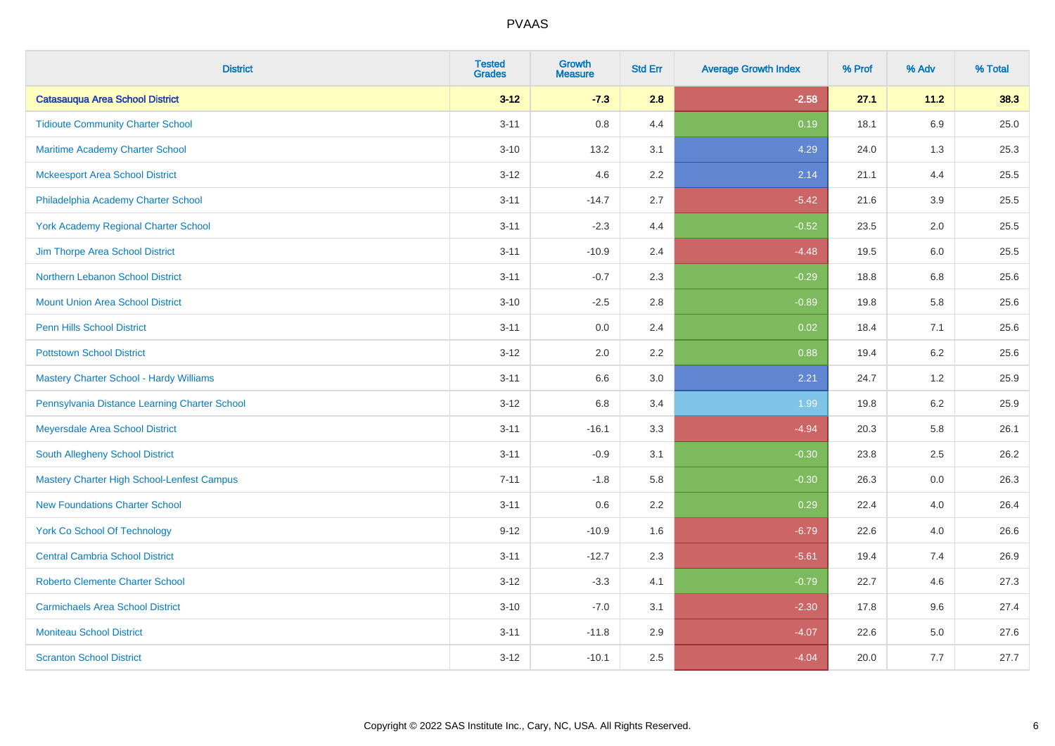| <b>District</b>                                   | <b>Tested</b><br><b>Grades</b> | <b>Growth</b><br><b>Measure</b> | <b>Std Err</b> | <b>Average Growth Index</b> | % Prof | % Adv   | % Total |
|---------------------------------------------------|--------------------------------|---------------------------------|----------------|-----------------------------|--------|---------|---------|
| <b>Catasauqua Area School District</b>            | $3 - 12$                       | $-7.3$                          | 2.8            | $-2.58$                     | 27.1   | 11.2    | 38.3    |
| <b>Tidioute Community Charter School</b>          | $3 - 11$                       | 0.8                             | 4.4            | 0.19                        | 18.1   | 6.9     | 25.0    |
| Maritime Academy Charter School                   | $3 - 10$                       | 13.2                            | 3.1            | 4.29                        | 24.0   | 1.3     | 25.3    |
| <b>Mckeesport Area School District</b>            | $3 - 12$                       | 4.6                             | 2.2            | 2.14                        | 21.1   | 4.4     | 25.5    |
| Philadelphia Academy Charter School               | $3 - 11$                       | $-14.7$                         | 2.7            | $-5.42$                     | 21.6   | 3.9     | 25.5    |
| <b>York Academy Regional Charter School</b>       | $3 - 11$                       | $-2.3$                          | 4.4            | $-0.52$                     | 23.5   | 2.0     | 25.5    |
| Jim Thorpe Area School District                   | $3 - 11$                       | $-10.9$                         | 2.4            | $-4.48$                     | 19.5   | 6.0     | 25.5    |
| Northern Lebanon School District                  | $3 - 11$                       | $-0.7$                          | 2.3            | $-0.29$                     | 18.8   | 6.8     | 25.6    |
| <b>Mount Union Area School District</b>           | $3 - 10$                       | $-2.5$                          | 2.8            | $-0.89$                     | 19.8   | 5.8     | 25.6    |
| Penn Hills School District                        | $3 - 11$                       | 0.0                             | 2.4            | 0.02                        | 18.4   | 7.1     | 25.6    |
| <b>Pottstown School District</b>                  | $3 - 12$                       | 2.0                             | 2.2            | 0.88                        | 19.4   | 6.2     | 25.6    |
| <b>Mastery Charter School - Hardy Williams</b>    | $3 - 11$                       | 6.6                             | 3.0            | 2.21                        | 24.7   | 1.2     | 25.9    |
| Pennsylvania Distance Learning Charter School     | $3 - 12$                       | $6.8\,$                         | 3.4            | 1.99                        | 19.8   | $6.2\,$ | 25.9    |
| Meyersdale Area School District                   | $3 - 11$                       | $-16.1$                         | 3.3            | $-4.94$                     | 20.3   | 5.8     | 26.1    |
| <b>South Allegheny School District</b>            | $3 - 11$                       | $-0.9$                          | 3.1            | $-0.30$                     | 23.8   | 2.5     | 26.2    |
| <b>Mastery Charter High School-Lenfest Campus</b> | $7 - 11$                       | $-1.8$                          | 5.8            | $-0.30$                     | 26.3   | 0.0     | 26.3    |
| <b>New Foundations Charter School</b>             | $3 - 11$                       | 0.6                             | 2.2            | 0.29                        | 22.4   | 4.0     | 26.4    |
| <b>York Co School Of Technology</b>               | $9 - 12$                       | $-10.9$                         | 1.6            | $-6.79$                     | 22.6   | 4.0     | 26.6    |
| <b>Central Cambria School District</b>            | $3 - 11$                       | $-12.7$                         | 2.3            | $-5.61$                     | 19.4   | 7.4     | 26.9    |
| <b>Roberto Clemente Charter School</b>            | $3 - 12$                       | $-3.3$                          | 4.1            | $-0.79$                     | 22.7   | 4.6     | 27.3    |
| <b>Carmichaels Area School District</b>           | $3 - 10$                       | $-7.0$                          | 3.1            | $-2.30$                     | 17.8   | 9.6     | 27.4    |
| <b>Moniteau School District</b>                   | $3 - 11$                       | $-11.8$                         | 2.9            | $-4.07$                     | 22.6   | 5.0     | 27.6    |
| <b>Scranton School District</b>                   | $3 - 12$                       | $-10.1$                         | 2.5            | $-4.04$                     | 20.0   | 7.7     | 27.7    |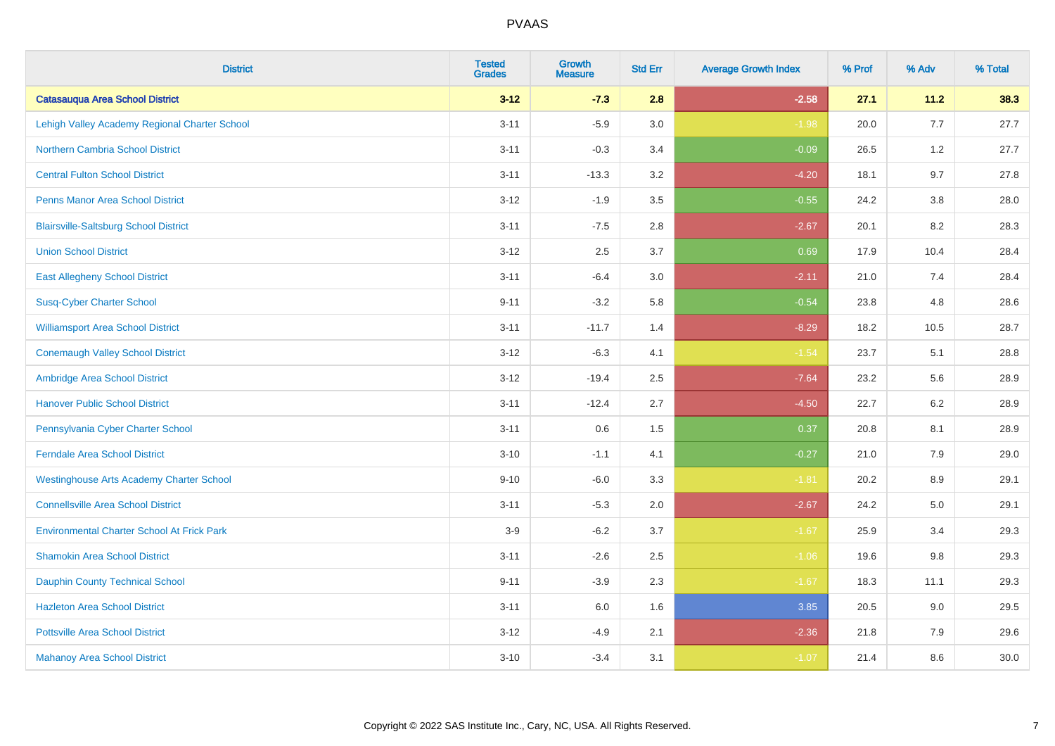| <b>District</b>                                   | <b>Tested</b><br><b>Grades</b> | <b>Growth</b><br><b>Measure</b> | <b>Std Err</b> | <b>Average Growth Index</b> | % Prof | % Adv   | % Total |
|---------------------------------------------------|--------------------------------|---------------------------------|----------------|-----------------------------|--------|---------|---------|
| <b>Catasauqua Area School District</b>            | $3 - 12$                       | $-7.3$                          | 2.8            | $-2.58$                     | 27.1   | 11.2    | 38.3    |
| Lehigh Valley Academy Regional Charter School     | $3 - 11$                       | $-5.9$                          | 3.0            | $-1.98$                     | 20.0   | 7.7     | 27.7    |
| <b>Northern Cambria School District</b>           | $3 - 11$                       | $-0.3$                          | 3.4            | $-0.09$                     | 26.5   | 1.2     | 27.7    |
| <b>Central Fulton School District</b>             | $3 - 11$                       | $-13.3$                         | 3.2            | $-4.20$                     | 18.1   | 9.7     | 27.8    |
| <b>Penns Manor Area School District</b>           | $3 - 12$                       | $-1.9$                          | 3.5            | $-0.55$                     | 24.2   | 3.8     | 28.0    |
| <b>Blairsville-Saltsburg School District</b>      | $3 - 11$                       | $-7.5$                          | 2.8            | $-2.67$                     | 20.1   | 8.2     | 28.3    |
| <b>Union School District</b>                      | $3 - 12$                       | 2.5                             | 3.7            | 0.69                        | 17.9   | 10.4    | 28.4    |
| <b>East Allegheny School District</b>             | $3 - 11$                       | $-6.4$                          | 3.0            | $-2.11$                     | 21.0   | 7.4     | 28.4    |
| <b>Susq-Cyber Charter School</b>                  | $9 - 11$                       | $-3.2$                          | 5.8            | $-0.54$                     | 23.8   | 4.8     | 28.6    |
| <b>Williamsport Area School District</b>          | $3 - 11$                       | $-11.7$                         | 1.4            | $-8.29$                     | 18.2   | 10.5    | 28.7    |
| <b>Conemaugh Valley School District</b>           | $3 - 12$                       | $-6.3$                          | 4.1            | $-1.54$                     | 23.7   | 5.1     | 28.8    |
| Ambridge Area School District                     | $3 - 12$                       | $-19.4$                         | 2.5            | $-7.64$                     | 23.2   | 5.6     | 28.9    |
| <b>Hanover Public School District</b>             | $3 - 11$                       | $-12.4$                         | 2.7            | $-4.50$                     | 22.7   | $6.2\,$ | 28.9    |
| Pennsylvania Cyber Charter School                 | $3 - 11$                       | 0.6                             | 1.5            | 0.37                        | 20.8   | 8.1     | 28.9    |
| <b>Ferndale Area School District</b>              | $3 - 10$                       | $-1.1$                          | 4.1            | $-0.27$                     | 21.0   | 7.9     | 29.0    |
| <b>Westinghouse Arts Academy Charter School</b>   | $9 - 10$                       | $-6.0$                          | 3.3            | $-1.81$                     | 20.2   | $8.9\,$ | 29.1    |
| <b>Connellsville Area School District</b>         | $3 - 11$                       | $-5.3$                          | 2.0            | $-2.67$                     | 24.2   | 5.0     | 29.1    |
| <b>Environmental Charter School At Frick Park</b> | $3-9$                          | $-6.2$                          | 3.7            | $-1.67$                     | 25.9   | 3.4     | 29.3    |
| <b>Shamokin Area School District</b>              | $3 - 11$                       | $-2.6$                          | 2.5            | $-1.06$                     | 19.6   | 9.8     | 29.3    |
| <b>Dauphin County Technical School</b>            | $9 - 11$                       | $-3.9$                          | 2.3            | $-1.67$                     | 18.3   | 11.1    | 29.3    |
| <b>Hazleton Area School District</b>              | $3 - 11$                       | 6.0                             | 1.6            | 3.85                        | 20.5   | 9.0     | 29.5    |
| <b>Pottsville Area School District</b>            | $3 - 12$                       | $-4.9$                          | 2.1            | $-2.36$                     | 21.8   | 7.9     | 29.6    |
| <b>Mahanoy Area School District</b>               | $3 - 10$                       | $-3.4$                          | 3.1            | $-1.07$                     | 21.4   | 8.6     | 30.0    |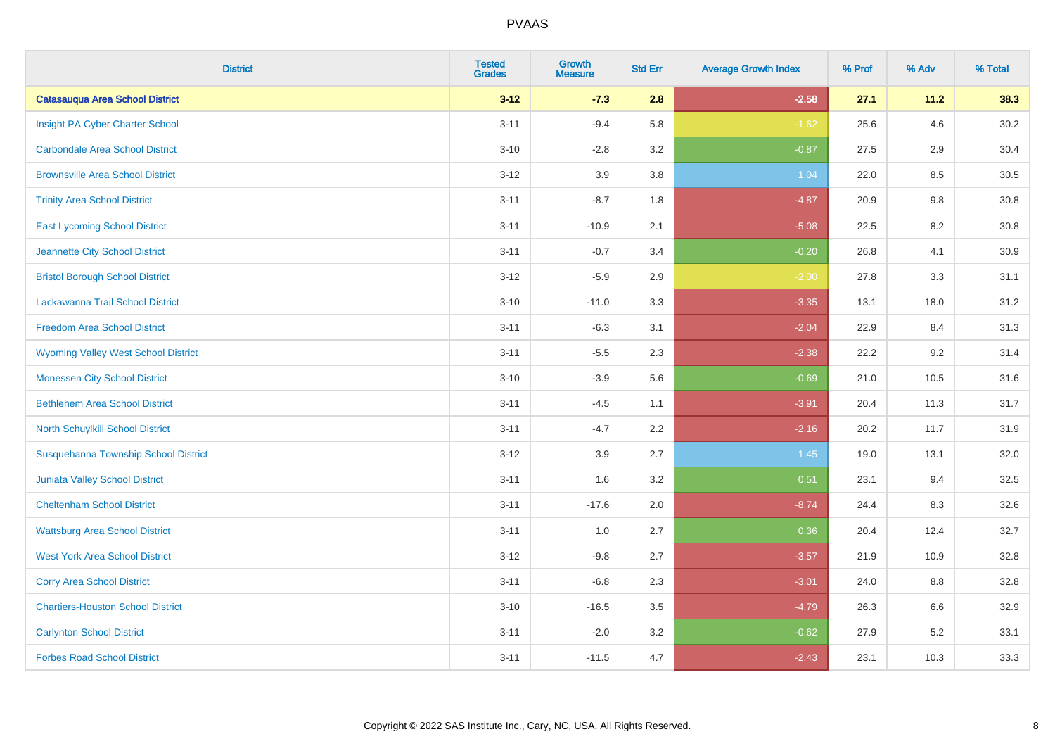| <b>District</b>                            | <b>Tested</b><br><b>Grades</b> | <b>Growth</b><br><b>Measure</b> | <b>Std Err</b> | <b>Average Growth Index</b> | % Prof | % Adv | % Total |
|--------------------------------------------|--------------------------------|---------------------------------|----------------|-----------------------------|--------|-------|---------|
| <b>Catasauqua Area School District</b>     | $3 - 12$                       | $-7.3$                          | 2.8            | $-2.58$                     | 27.1   | 11.2  | 38.3    |
| Insight PA Cyber Charter School            | $3 - 11$                       | $-9.4$                          | 5.8            | $-1.62$                     | 25.6   | 4.6   | 30.2    |
| <b>Carbondale Area School District</b>     | $3 - 10$                       | $-2.8$                          | 3.2            | $-0.87$                     | 27.5   | 2.9   | 30.4    |
| <b>Brownsville Area School District</b>    | $3 - 12$                       | 3.9                             | 3.8            | 1.04                        | 22.0   | 8.5   | 30.5    |
| <b>Trinity Area School District</b>        | $3 - 11$                       | $-8.7$                          | 1.8            | $-4.87$                     | 20.9   | 9.8   | 30.8    |
| <b>East Lycoming School District</b>       | $3 - 11$                       | $-10.9$                         | 2.1            | $-5.08$                     | 22.5   | 8.2   | 30.8    |
| Jeannette City School District             | $3 - 11$                       | $-0.7$                          | 3.4            | $-0.20$                     | 26.8   | 4.1   | 30.9    |
| <b>Bristol Borough School District</b>     | $3 - 12$                       | $-5.9$                          | 2.9            | $-2.00$                     | 27.8   | 3.3   | 31.1    |
| Lackawanna Trail School District           | $3 - 10$                       | $-11.0$                         | 3.3            | $-3.35$                     | 13.1   | 18.0  | 31.2    |
| <b>Freedom Area School District</b>        | $3 - 11$                       | $-6.3$                          | 3.1            | $-2.04$                     | 22.9   | 8.4   | 31.3    |
| <b>Wyoming Valley West School District</b> | $3 - 11$                       | $-5.5$                          | 2.3            | $-2.38$                     | 22.2   | 9.2   | 31.4    |
| <b>Monessen City School District</b>       | $3 - 10$                       | $-3.9$                          | 5.6            | $-0.69$                     | 21.0   | 10.5  | 31.6    |
| <b>Bethlehem Area School District</b>      | $3 - 11$                       | $-4.5$                          | 1.1            | $-3.91$                     | 20.4   | 11.3  | 31.7    |
| North Schuylkill School District           | $3 - 11$                       | $-4.7$                          | 2.2            | $-2.16$                     | 20.2   | 11.7  | 31.9    |
| Susquehanna Township School District       | $3 - 12$                       | 3.9                             | 2.7            | 1.45                        | 19.0   | 13.1  | 32.0    |
| <b>Juniata Valley School District</b>      | $3 - 11$                       | 1.6                             | 3.2            | 0.51                        | 23.1   | 9.4   | 32.5    |
| <b>Cheltenham School District</b>          | $3 - 11$                       | $-17.6$                         | 2.0            | $-8.74$                     | 24.4   | 8.3   | 32.6    |
| <b>Wattsburg Area School District</b>      | $3 - 11$                       | 1.0                             | 2.7            | 0.36                        | 20.4   | 12.4  | 32.7    |
| <b>West York Area School District</b>      | $3 - 12$                       | $-9.8$                          | 2.7            | $-3.57$                     | 21.9   | 10.9  | 32.8    |
| <b>Corry Area School District</b>          | $3 - 11$                       | $-6.8$                          | 2.3            | $-3.01$                     | 24.0   | 8.8   | 32.8    |
| <b>Chartiers-Houston School District</b>   | $3 - 10$                       | $-16.5$                         | 3.5            | $-4.79$                     | 26.3   | 6.6   | 32.9    |
| <b>Carlynton School District</b>           | $3 - 11$                       | $-2.0$                          | 3.2            | $-0.62$                     | 27.9   | 5.2   | 33.1    |
| <b>Forbes Road School District</b>         | $3 - 11$                       | $-11.5$                         | 4.7            | $-2.43$                     | 23.1   | 10.3  | 33.3    |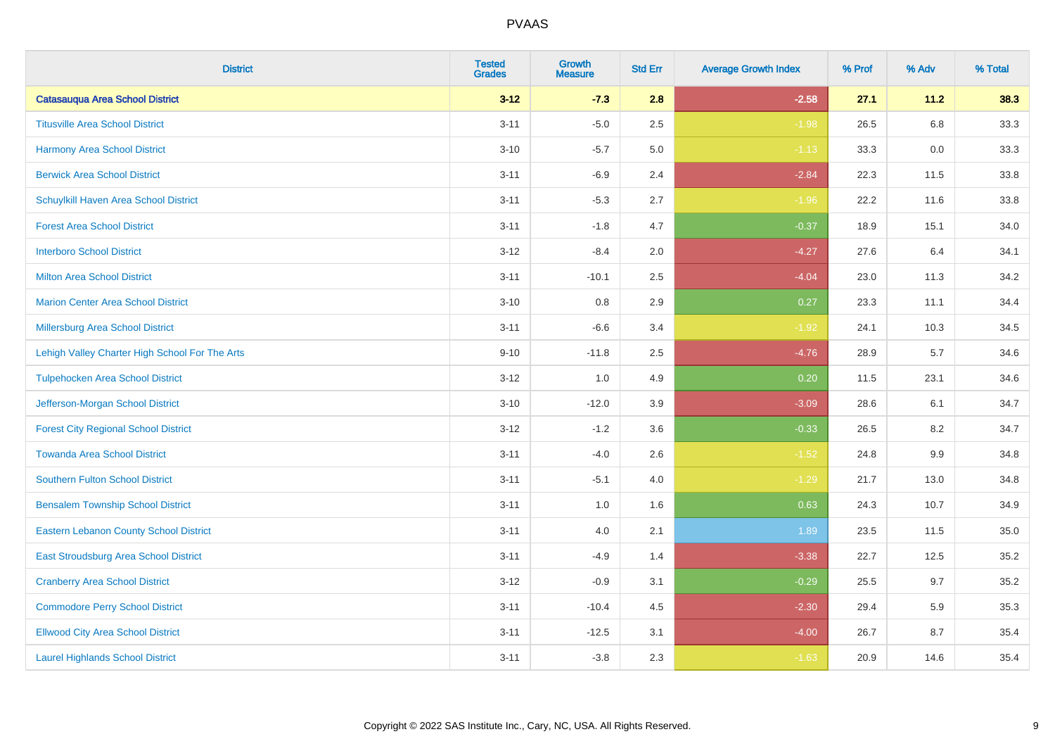| <b>District</b>                                | <b>Tested</b><br><b>Grades</b> | <b>Growth</b><br><b>Measure</b> | <b>Std Err</b> | <b>Average Growth Index</b> | % Prof | % Adv | % Total |
|------------------------------------------------|--------------------------------|---------------------------------|----------------|-----------------------------|--------|-------|---------|
| <b>Catasauqua Area School District</b>         | $3 - 12$                       | $-7.3$                          | 2.8            | $-2.58$                     | 27.1   | 11.2  | 38.3    |
| <b>Titusville Area School District</b>         | $3 - 11$                       | $-5.0$                          | 2.5            | $-1.98$                     | 26.5   | 6.8   | 33.3    |
| <b>Harmony Area School District</b>            | $3 - 10$                       | $-5.7$                          | 5.0            | $-1.13$                     | 33.3   | 0.0   | 33.3    |
| <b>Berwick Area School District</b>            | $3 - 11$                       | $-6.9$                          | 2.4            | $-2.84$                     | 22.3   | 11.5  | 33.8    |
| Schuylkill Haven Area School District          | $3 - 11$                       | $-5.3$                          | 2.7            | $-1.96$                     | 22.2   | 11.6  | 33.8    |
| <b>Forest Area School District</b>             | $3 - 11$                       | $-1.8$                          | 4.7            | $-0.37$                     | 18.9   | 15.1  | 34.0    |
| <b>Interboro School District</b>               | $3 - 12$                       | $-8.4$                          | 2.0            | $-4.27$                     | 27.6   | 6.4   | 34.1    |
| <b>Milton Area School District</b>             | $3 - 11$                       | $-10.1$                         | 2.5            | $-4.04$                     | 23.0   | 11.3  | 34.2    |
| <b>Marion Center Area School District</b>      | $3 - 10$                       | 0.8                             | 2.9            | 0.27                        | 23.3   | 11.1  | 34.4    |
| <b>Millersburg Area School District</b>        | $3 - 11$                       | $-6.6$                          | 3.4            | $-1.92$                     | 24.1   | 10.3  | 34.5    |
| Lehigh Valley Charter High School For The Arts | $9 - 10$                       | $-11.8$                         | 2.5            | $-4.76$                     | 28.9   | 5.7   | 34.6    |
| <b>Tulpehocken Area School District</b>        | $3 - 12$                       | 1.0                             | 4.9            | 0.20                        | 11.5   | 23.1  | 34.6    |
| Jefferson-Morgan School District               | $3 - 10$                       | $-12.0$                         | 3.9            | $-3.09$                     | 28.6   | 6.1   | 34.7    |
| <b>Forest City Regional School District</b>    | $3 - 12$                       | $-1.2$                          | 3.6            | $-0.33$                     | 26.5   | 8.2   | 34.7    |
| <b>Towanda Area School District</b>            | $3 - 11$                       | $-4.0$                          | 2.6            | $-1.52$                     | 24.8   | 9.9   | 34.8    |
| <b>Southern Fulton School District</b>         | $3 - 11$                       | $-5.1$                          | 4.0            | $-1.29$                     | 21.7   | 13.0  | 34.8    |
| <b>Bensalem Township School District</b>       | $3 - 11$                       | 1.0                             | 1.6            | 0.63                        | 24.3   | 10.7  | 34.9    |
| <b>Eastern Lebanon County School District</b>  | $3 - 11$                       | 4.0                             | 2.1            | 1.89                        | 23.5   | 11.5  | 35.0    |
| East Stroudsburg Area School District          | $3 - 11$                       | $-4.9$                          | 1.4            | $-3.38$                     | 22.7   | 12.5  | 35.2    |
| <b>Cranberry Area School District</b>          | $3 - 12$                       | $-0.9$                          | 3.1            | $-0.29$                     | 25.5   | 9.7   | 35.2    |
| <b>Commodore Perry School District</b>         | $3 - 11$                       | $-10.4$                         | 4.5            | $-2.30$                     | 29.4   | 5.9   | 35.3    |
| <b>Ellwood City Area School District</b>       | $3 - 11$                       | $-12.5$                         | 3.1            | $-4.00$                     | 26.7   | 8.7   | 35.4    |
| <b>Laurel Highlands School District</b>        | $3 - 11$                       | $-3.8$                          | 2.3            | $-1.63$                     | 20.9   | 14.6  | 35.4    |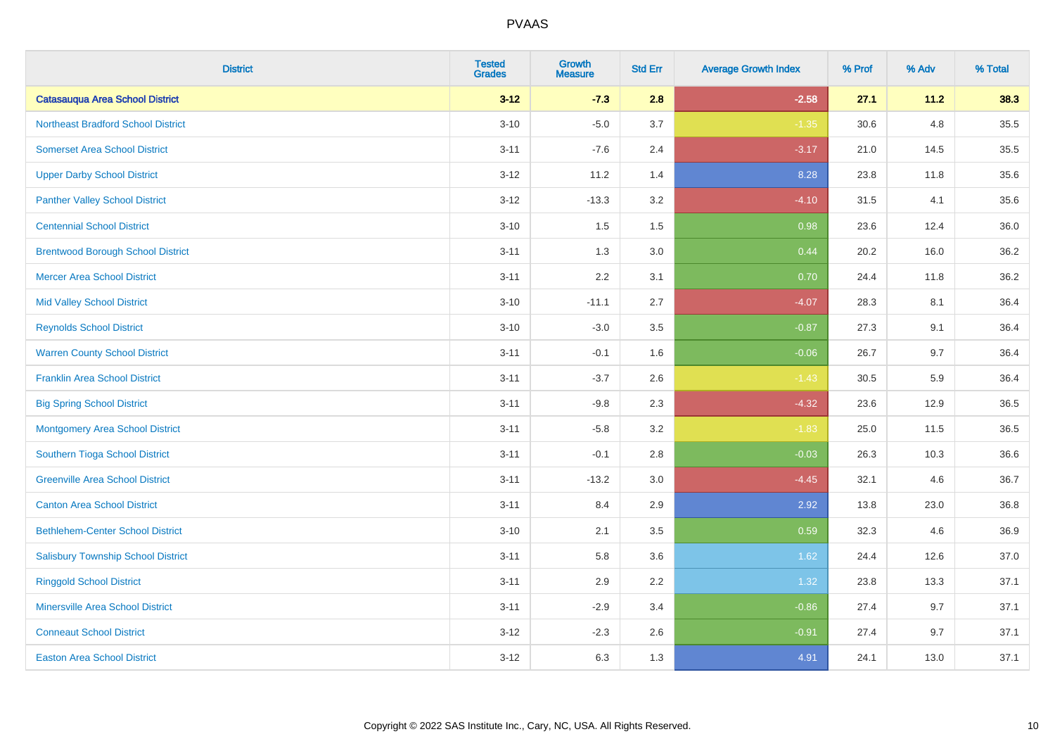| <b>District</b>                           | <b>Tested</b><br><b>Grades</b> | <b>Growth</b><br><b>Measure</b> | <b>Std Err</b> | <b>Average Growth Index</b> | % Prof | % Adv | % Total |
|-------------------------------------------|--------------------------------|---------------------------------|----------------|-----------------------------|--------|-------|---------|
| <b>Catasauqua Area School District</b>    | $3 - 12$                       | $-7.3$                          | 2.8            | $-2.58$                     | 27.1   | 11.2  | 38.3    |
| <b>Northeast Bradford School District</b> | $3 - 10$                       | $-5.0$                          | 3.7            | $-1.35$                     | 30.6   | 4.8   | 35.5    |
| <b>Somerset Area School District</b>      | $3 - 11$                       | $-7.6$                          | 2.4            | $-3.17$                     | 21.0   | 14.5  | 35.5    |
| <b>Upper Darby School District</b>        | $3 - 12$                       | 11.2                            | 1.4            | 8.28                        | 23.8   | 11.8  | 35.6    |
| <b>Panther Valley School District</b>     | $3-12$                         | $-13.3$                         | 3.2            | $-4.10$                     | 31.5   | 4.1   | 35.6    |
| <b>Centennial School District</b>         | $3 - 10$                       | 1.5                             | 1.5            | 0.98                        | 23.6   | 12.4  | 36.0    |
| <b>Brentwood Borough School District</b>  | $3 - 11$                       | 1.3                             | 3.0            | 0.44                        | 20.2   | 16.0  | 36.2    |
| <b>Mercer Area School District</b>        | $3 - 11$                       | 2.2                             | 3.1            | 0.70                        | 24.4   | 11.8  | 36.2    |
| <b>Mid Valley School District</b>         | $3 - 10$                       | $-11.1$                         | 2.7            | $-4.07$                     | 28.3   | 8.1   | 36.4    |
| <b>Reynolds School District</b>           | $3 - 10$                       | $-3.0$                          | 3.5            | $-0.87$                     | 27.3   | 9.1   | 36.4    |
| <b>Warren County School District</b>      | $3 - 11$                       | $-0.1$                          | 1.6            | $-0.06$                     | 26.7   | 9.7   | 36.4    |
| <b>Franklin Area School District</b>      | $3 - 11$                       | $-3.7$                          | 2.6            | $-1.43$                     | 30.5   | 5.9   | 36.4    |
| <b>Big Spring School District</b>         | $3 - 11$                       | $-9.8$                          | 2.3            | $-4.32$                     | 23.6   | 12.9  | 36.5    |
| <b>Montgomery Area School District</b>    | $3 - 11$                       | $-5.8$                          | 3.2            | $-1.83$                     | 25.0   | 11.5  | 36.5    |
| Southern Tioga School District            | $3 - 11$                       | $-0.1$                          | 2.8            | $-0.03$                     | 26.3   | 10.3  | 36.6    |
| <b>Greenville Area School District</b>    | $3 - 11$                       | $-13.2$                         | 3.0            | $-4.45$                     | 32.1   | 4.6   | 36.7    |
| <b>Canton Area School District</b>        | $3 - 11$                       | 8.4                             | 2.9            | 2.92                        | 13.8   | 23.0  | 36.8    |
| <b>Bethlehem-Center School District</b>   | $3 - 10$                       | 2.1                             | 3.5            | 0.59                        | 32.3   | 4.6   | 36.9    |
| <b>Salisbury Township School District</b> | $3 - 11$                       | 5.8                             | 3.6            | 1.62                        | 24.4   | 12.6  | 37.0    |
| <b>Ringgold School District</b>           | $3 - 11$                       | 2.9                             | 2.2            | 1.32                        | 23.8   | 13.3  | 37.1    |
| <b>Minersville Area School District</b>   | $3 - 11$                       | $-2.9$                          | 3.4            | $-0.86$                     | 27.4   | 9.7   | 37.1    |
| <b>Conneaut School District</b>           | $3-12$                         | $-2.3$                          | 2.6            | $-0.91$                     | 27.4   | 9.7   | 37.1    |
| <b>Easton Area School District</b>        | $3 - 12$                       | 6.3                             | 1.3            | 4.91                        | 24.1   | 13.0  | 37.1    |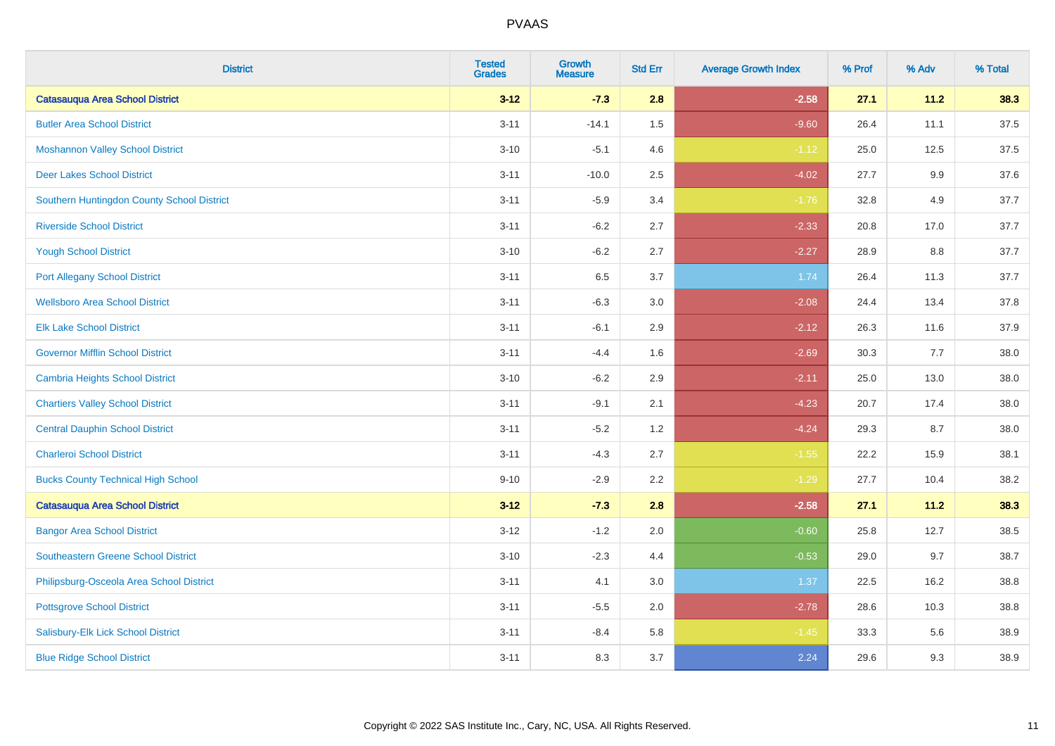| <b>District</b>                            | <b>Tested</b><br><b>Grades</b> | <b>Growth</b><br><b>Measure</b> | <b>Std Err</b> | <b>Average Growth Index</b> | % Prof | % Adv   | % Total |
|--------------------------------------------|--------------------------------|---------------------------------|----------------|-----------------------------|--------|---------|---------|
| <b>Catasauqua Area School District</b>     | $3 - 12$                       | $-7.3$                          | 2.8            | $-2.58$                     | 27.1   | 11.2    | 38.3    |
| <b>Butler Area School District</b>         | $3 - 11$                       | $-14.1$                         | $1.5$          | $-9.60$                     | 26.4   | 11.1    | 37.5    |
| <b>Moshannon Valley School District</b>    | $3 - 10$                       | $-5.1$                          | 4.6            | $-1.12$                     | 25.0   | 12.5    | 37.5    |
| <b>Deer Lakes School District</b>          | $3 - 11$                       | $-10.0$                         | 2.5            | $-4.02$                     | 27.7   | $9.9\,$ | 37.6    |
| Southern Huntingdon County School District | $3 - 11$                       | $-5.9$                          | 3.4            | $-1.76$                     | 32.8   | 4.9     | 37.7    |
| <b>Riverside School District</b>           | $3 - 11$                       | $-6.2$                          | 2.7            | $-2.33$                     | 20.8   | 17.0    | 37.7    |
| <b>Yough School District</b>               | $3 - 10$                       | $-6.2$                          | 2.7            | $-2.27$                     | 28.9   | 8.8     | 37.7    |
| <b>Port Allegany School District</b>       | $3 - 11$                       | 6.5                             | 3.7            | 1.74                        | 26.4   | 11.3    | 37.7    |
| <b>Wellsboro Area School District</b>      | $3 - 11$                       | $-6.3$                          | 3.0            | $-2.08$                     | 24.4   | 13.4    | 37.8    |
| <b>Elk Lake School District</b>            | $3 - 11$                       | $-6.1$                          | 2.9            | $-2.12$                     | 26.3   | 11.6    | 37.9    |
| <b>Governor Mifflin School District</b>    | $3 - 11$                       | $-4.4$                          | 1.6            | $-2.69$                     | 30.3   | 7.7     | 38.0    |
| <b>Cambria Heights School District</b>     | $3 - 10$                       | $-6.2$                          | 2.9            | $-2.11$                     | 25.0   | 13.0    | 38.0    |
| <b>Chartiers Valley School District</b>    | $3 - 11$                       | $-9.1$                          | 2.1            | $-4.23$                     | 20.7   | 17.4    | 38.0    |
| <b>Central Dauphin School District</b>     | $3 - 11$                       | $-5.2$                          | 1.2            | $-4.24$                     | 29.3   | 8.7     | 38.0    |
| <b>Charleroi School District</b>           | $3 - 11$                       | $-4.3$                          | 2.7            | $-1.55$                     | 22.2   | 15.9    | 38.1    |
| <b>Bucks County Technical High School</b>  | $9 - 10$                       | $-2.9$                          | 2.2            | $-1.29$                     | 27.7   | 10.4    | 38.2    |
| <b>Catasauqua Area School District</b>     | $3 - 12$                       | $-7.3$                          | 2.8            | $-2.58$                     | 27.1   | 11.2    | 38.3    |
| <b>Bangor Area School District</b>         | $3 - 12$                       | $-1.2$                          | 2.0            | $-0.60$                     | 25.8   | 12.7    | 38.5    |
| <b>Southeastern Greene School District</b> | $3 - 10$                       | $-2.3$                          | 4.4            | $-0.53$                     | 29.0   | 9.7     | 38.7    |
| Philipsburg-Osceola Area School District   | $3 - 11$                       | 4.1                             | 3.0            | 1.37                        | 22.5   | 16.2    | 38.8    |
| <b>Pottsgrove School District</b>          | $3 - 11$                       | $-5.5$                          | 2.0            | $-2.78$                     | 28.6   | 10.3    | 38.8    |
| Salisbury-Elk Lick School District         | $3 - 11$                       | $-8.4$                          | 5.8            | $-1.45$                     | 33.3   | 5.6     | 38.9    |
| <b>Blue Ridge School District</b>          | $3 - 11$                       | 8.3                             | 3.7            | 2.24                        | 29.6   | 9.3     | 38.9    |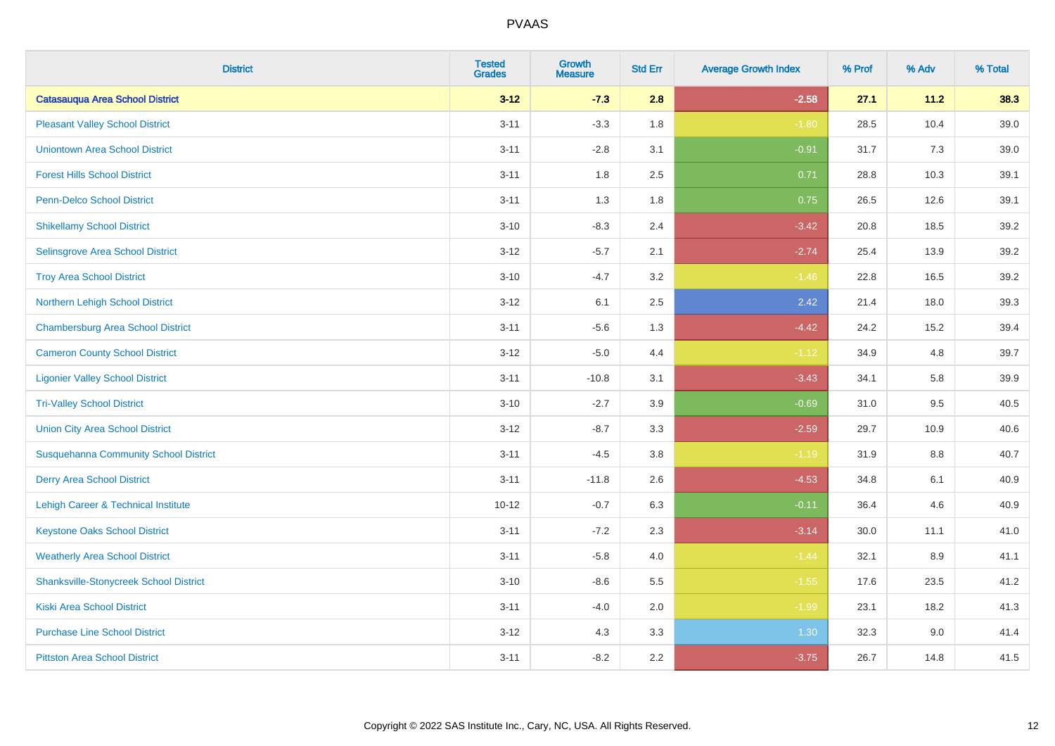| <b>District</b>                               | <b>Tested</b><br><b>Grades</b> | <b>Growth</b><br><b>Measure</b> | <b>Std Err</b> | <b>Average Growth Index</b> | % Prof | % Adv | % Total |
|-----------------------------------------------|--------------------------------|---------------------------------|----------------|-----------------------------|--------|-------|---------|
| <b>Catasauqua Area School District</b>        | $3 - 12$                       | $-7.3$                          | 2.8            | $-2.58$                     | 27.1   | 11.2  | 38.3    |
| <b>Pleasant Valley School District</b>        | $3 - 11$                       | $-3.3$                          | 1.8            | $-1.80$                     | 28.5   | 10.4  | 39.0    |
| <b>Uniontown Area School District</b>         | $3 - 11$                       | $-2.8$                          | 3.1            | $-0.91$                     | 31.7   | 7.3   | 39.0    |
| <b>Forest Hills School District</b>           | $3 - 11$                       | 1.8                             | 2.5            | 0.71                        | 28.8   | 10.3  | 39.1    |
| Penn-Delco School District                    | $3 - 11$                       | 1.3                             | 1.8            | 0.75                        | 26.5   | 12.6  | 39.1    |
| <b>Shikellamy School District</b>             | $3 - 10$                       | $-8.3$                          | 2.4            | $-3.42$                     | 20.8   | 18.5  | 39.2    |
| Selinsgrove Area School District              | $3 - 12$                       | $-5.7$                          | 2.1            | $-2.74$                     | 25.4   | 13.9  | 39.2    |
| <b>Troy Area School District</b>              | $3 - 10$                       | $-4.7$                          | 3.2            | $-1.46$                     | 22.8   | 16.5  | 39.2    |
| Northern Lehigh School District               | $3 - 12$                       | 6.1                             | 2.5            | 2.42                        | 21.4   | 18.0  | 39.3    |
| <b>Chambersburg Area School District</b>      | $3 - 11$                       | $-5.6$                          | 1.3            | $-4.42$                     | 24.2   | 15.2  | 39.4    |
| <b>Cameron County School District</b>         | $3-12$                         | $-5.0$                          | 4.4            | $-1.12$                     | 34.9   | 4.8   | 39.7    |
| <b>Ligonier Valley School District</b>        | $3 - 11$                       | $-10.8$                         | 3.1            | $-3.43$                     | 34.1   | 5.8   | 39.9    |
| <b>Tri-Valley School District</b>             | $3 - 10$                       | $-2.7$                          | 3.9            | $-0.69$                     | 31.0   | 9.5   | 40.5    |
| <b>Union City Area School District</b>        | $3 - 12$                       | $-8.7$                          | 3.3            | $-2.59$                     | 29.7   | 10.9  | 40.6    |
| <b>Susquehanna Community School District</b>  | $3 - 11$                       | $-4.5$                          | 3.8            | $-1.19$                     | 31.9   | 8.8   | 40.7    |
| <b>Derry Area School District</b>             | $3 - 11$                       | $-11.8$                         | 2.6            | $-4.53$                     | 34.8   | 6.1   | 40.9    |
| Lehigh Career & Technical Institute           | $10 - 12$                      | $-0.7$                          | 6.3            | $-0.11$                     | 36.4   | 4.6   | 40.9    |
| <b>Keystone Oaks School District</b>          | $3 - 11$                       | $-7.2$                          | 2.3            | $-3.14$                     | 30.0   | 11.1  | 41.0    |
| <b>Weatherly Area School District</b>         | $3 - 11$                       | $-5.8$                          | 4.0            | $-1.44$                     | 32.1   | 8.9   | 41.1    |
| <b>Shanksville-Stonycreek School District</b> | $3 - 10$                       | $-8.6$                          | 5.5            | $-1.55$                     | 17.6   | 23.5  | 41.2    |
| <b>Kiski Area School District</b>             | $3 - 11$                       | $-4.0$                          | 2.0            | $-1.99$                     | 23.1   | 18.2  | 41.3    |
| <b>Purchase Line School District</b>          | $3 - 12$                       | 4.3                             | 3.3            | 1.30                        | 32.3   | 9.0   | 41.4    |
| <b>Pittston Area School District</b>          | $3 - 11$                       | $-8.2$                          | 2.2            | $-3.75$                     | 26.7   | 14.8  | 41.5    |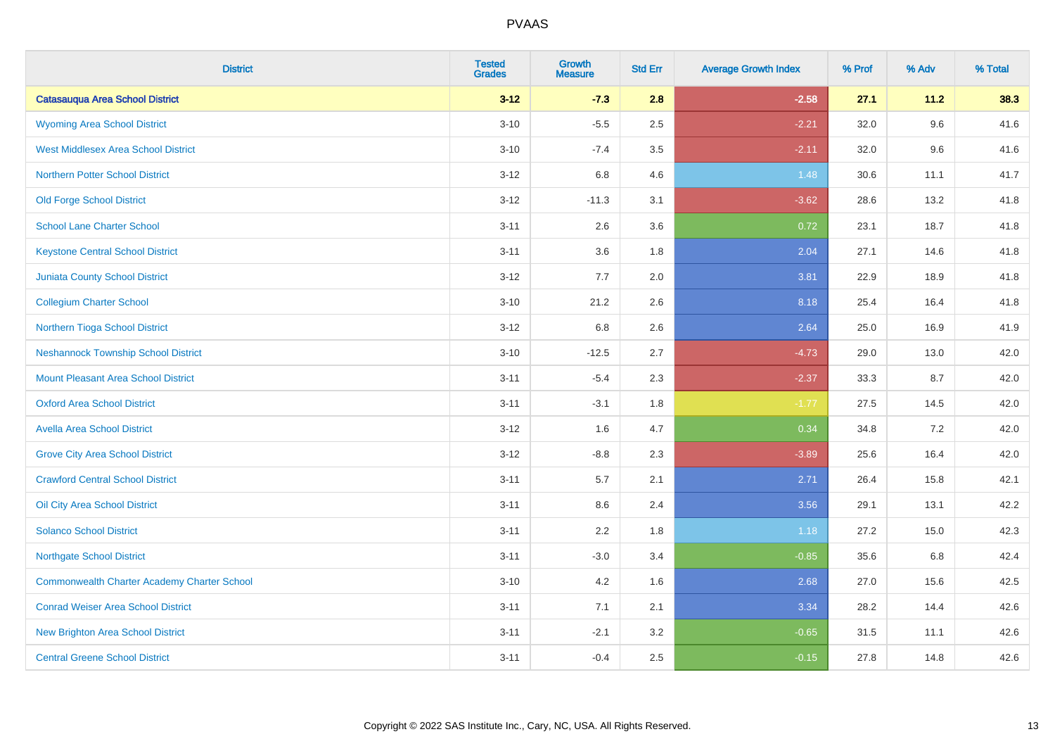| <b>District</b>                                    | <b>Tested</b><br><b>Grades</b> | <b>Growth</b><br><b>Measure</b> | <b>Std Err</b> | <b>Average Growth Index</b> | % Prof | % Adv | % Total |
|----------------------------------------------------|--------------------------------|---------------------------------|----------------|-----------------------------|--------|-------|---------|
| <b>Catasauqua Area School District</b>             | $3 - 12$                       | $-7.3$                          | 2.8            | $-2.58$                     | 27.1   | 11.2  | 38.3    |
| <b>Wyoming Area School District</b>                | $3 - 10$                       | $-5.5$                          | 2.5            | $-2.21$                     | 32.0   | 9.6   | 41.6    |
| <b>West Middlesex Area School District</b>         | $3 - 10$                       | $-7.4$                          | 3.5            | $-2.11$                     | 32.0   | 9.6   | 41.6    |
| <b>Northern Potter School District</b>             | $3 - 12$                       | 6.8                             | 4.6            | 1.48                        | 30.6   | 11.1  | 41.7    |
| <b>Old Forge School District</b>                   | $3 - 12$                       | $-11.3$                         | 3.1            | $-3.62$                     | 28.6   | 13.2  | 41.8    |
| <b>School Lane Charter School</b>                  | $3 - 11$                       | 2.6                             | 3.6            | 0.72                        | 23.1   | 18.7  | 41.8    |
| <b>Keystone Central School District</b>            | $3 - 11$                       | 3.6                             | 1.8            | 2.04                        | 27.1   | 14.6  | 41.8    |
| <b>Juniata County School District</b>              | $3 - 12$                       | 7.7                             | 2.0            | 3.81                        | 22.9   | 18.9  | 41.8    |
| <b>Collegium Charter School</b>                    | $3 - 10$                       | 21.2                            | 2.6            | 8.18                        | 25.4   | 16.4  | 41.8    |
| Northern Tioga School District                     | $3 - 12$                       | 6.8                             | 2.6            | 2.64                        | 25.0   | 16.9  | 41.9    |
| <b>Neshannock Township School District</b>         | $3 - 10$                       | $-12.5$                         | 2.7            | $-4.73$                     | 29.0   | 13.0  | 42.0    |
| Mount Pleasant Area School District                | $3 - 11$                       | $-5.4$                          | 2.3            | $-2.37$                     | 33.3   | 8.7   | 42.0    |
| <b>Oxford Area School District</b>                 | $3 - 11$                       | $-3.1$                          | 1.8            | $-1.77$                     | 27.5   | 14.5  | 42.0    |
| <b>Avella Area School District</b>                 | $3 - 12$                       | 1.6                             | 4.7            | 0.34                        | 34.8   | 7.2   | 42.0    |
| <b>Grove City Area School District</b>             | $3 - 12$                       | $-8.8$                          | 2.3            | $-3.89$                     | 25.6   | 16.4  | 42.0    |
| <b>Crawford Central School District</b>            | $3 - 11$                       | 5.7                             | 2.1            | 2.71                        | 26.4   | 15.8  | 42.1    |
| <b>Oil City Area School District</b>               | $3 - 11$                       | 8.6                             | 2.4            | 3.56                        | 29.1   | 13.1  | 42.2    |
| <b>Solanco School District</b>                     | $3 - 11$                       | 2.2                             | 1.8            | 1.18                        | 27.2   | 15.0  | 42.3    |
| <b>Northgate School District</b>                   | $3 - 11$                       | $-3.0$                          | 3.4            | $-0.85$                     | 35.6   | 6.8   | 42.4    |
| <b>Commonwealth Charter Academy Charter School</b> | $3 - 10$                       | 4.2                             | 1.6            | 2.68                        | 27.0   | 15.6  | 42.5    |
| <b>Conrad Weiser Area School District</b>          | $3 - 11$                       | 7.1                             | 2.1            | 3.34                        | 28.2   | 14.4  | 42.6    |
| <b>New Brighton Area School District</b>           | $3 - 11$                       | $-2.1$                          | 3.2            | $-0.65$                     | 31.5   | 11.1  | 42.6    |
| <b>Central Greene School District</b>              | $3 - 11$                       | $-0.4$                          | 2.5            | $-0.15$                     | 27.8   | 14.8  | 42.6    |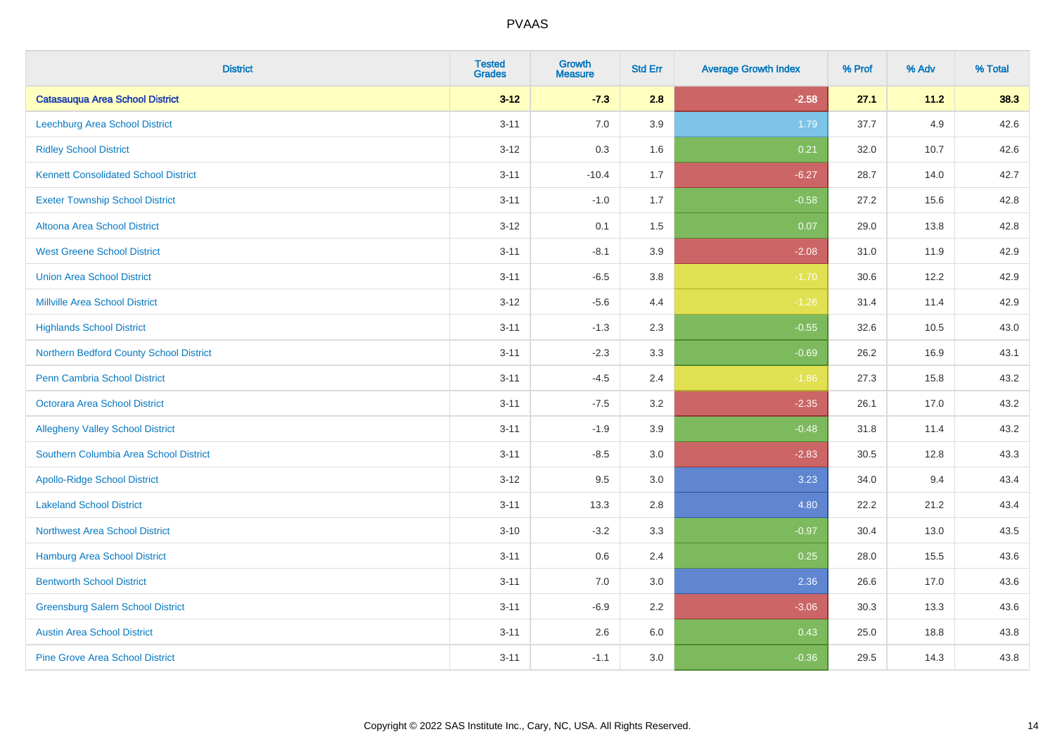| <b>District</b>                             | <b>Tested</b><br><b>Grades</b> | <b>Growth</b><br><b>Measure</b> | <b>Std Err</b> | <b>Average Growth Index</b> | % Prof | % Adv | % Total |
|---------------------------------------------|--------------------------------|---------------------------------|----------------|-----------------------------|--------|-------|---------|
| <b>Catasauqua Area School District</b>      | $3 - 12$                       | $-7.3$                          | 2.8            | $-2.58$                     | 27.1   | 11.2  | 38.3    |
| <b>Leechburg Area School District</b>       | $3 - 11$                       | $7.0\,$                         | 3.9            | 1.79                        | 37.7   | 4.9   | 42.6    |
| <b>Ridley School District</b>               | $3 - 12$                       | 0.3                             | 1.6            | 0.21                        | 32.0   | 10.7  | 42.6    |
| <b>Kennett Consolidated School District</b> | $3 - 11$                       | $-10.4$                         | 1.7            | $-6.27$                     | 28.7   | 14.0  | 42.7    |
| <b>Exeter Township School District</b>      | $3 - 11$                       | $-1.0$                          | 1.7            | $-0.58$                     | 27.2   | 15.6  | 42.8    |
| Altoona Area School District                | $3 - 12$                       | 0.1                             | 1.5            | 0.07                        | 29.0   | 13.8  | 42.8    |
| <b>West Greene School District</b>          | $3 - 11$                       | $-8.1$                          | 3.9            | $-2.08$                     | 31.0   | 11.9  | 42.9    |
| <b>Union Area School District</b>           | $3 - 11$                       | $-6.5$                          | 3.8            | $-1.70$                     | 30.6   | 12.2  | 42.9    |
| <b>Millville Area School District</b>       | $3 - 12$                       | $-5.6$                          | 4.4            | $-1.26$                     | 31.4   | 11.4  | 42.9    |
| <b>Highlands School District</b>            | $3 - 11$                       | $-1.3$                          | 2.3            | $-0.55$                     | 32.6   | 10.5  | 43.0    |
| Northern Bedford County School District     | $3 - 11$                       | $-2.3$                          | 3.3            | $-0.69$                     | 26.2   | 16.9  | 43.1    |
| <b>Penn Cambria School District</b>         | $3 - 11$                       | $-4.5$                          | 2.4            | $-1.86$                     | 27.3   | 15.8  | 43.2    |
| Octorara Area School District               | $3 - 11$                       | $-7.5$                          | 3.2            | $-2.35$                     | 26.1   | 17.0  | 43.2    |
| <b>Allegheny Valley School District</b>     | $3 - 11$                       | $-1.9$                          | 3.9            | $-0.48$                     | 31.8   | 11.4  | 43.2    |
| Southern Columbia Area School District      | $3 - 11$                       | $-8.5$                          | 3.0            | $-2.83$                     | 30.5   | 12.8  | 43.3    |
| <b>Apollo-Ridge School District</b>         | $3 - 12$                       | 9.5                             | 3.0            | 3.23                        | 34.0   | 9.4   | 43.4    |
| <b>Lakeland School District</b>             | $3 - 11$                       | 13.3                            | 2.8            | 4.80                        | 22.2   | 21.2  | 43.4    |
| <b>Northwest Area School District</b>       | $3 - 10$                       | $-3.2$                          | 3.3            | $-0.97$                     | 30.4   | 13.0  | 43.5    |
| <b>Hamburg Area School District</b>         | $3 - 11$                       | $0.6\,$                         | 2.4            | 0.25                        | 28.0   | 15.5  | 43.6    |
| <b>Bentworth School District</b>            | $3 - 11$                       | 7.0                             | 3.0            | 2.36                        | 26.6   | 17.0  | 43.6    |
| <b>Greensburg Salem School District</b>     | $3 - 11$                       | $-6.9$                          | 2.2            | $-3.06$                     | 30.3   | 13.3  | 43.6    |
| <b>Austin Area School District</b>          | $3 - 11$                       | 2.6                             | 6.0            | 0.43                        | 25.0   | 18.8  | 43.8    |
| <b>Pine Grove Area School District</b>      | $3 - 11$                       | $-1.1$                          | 3.0            | $-0.36$                     | 29.5   | 14.3  | 43.8    |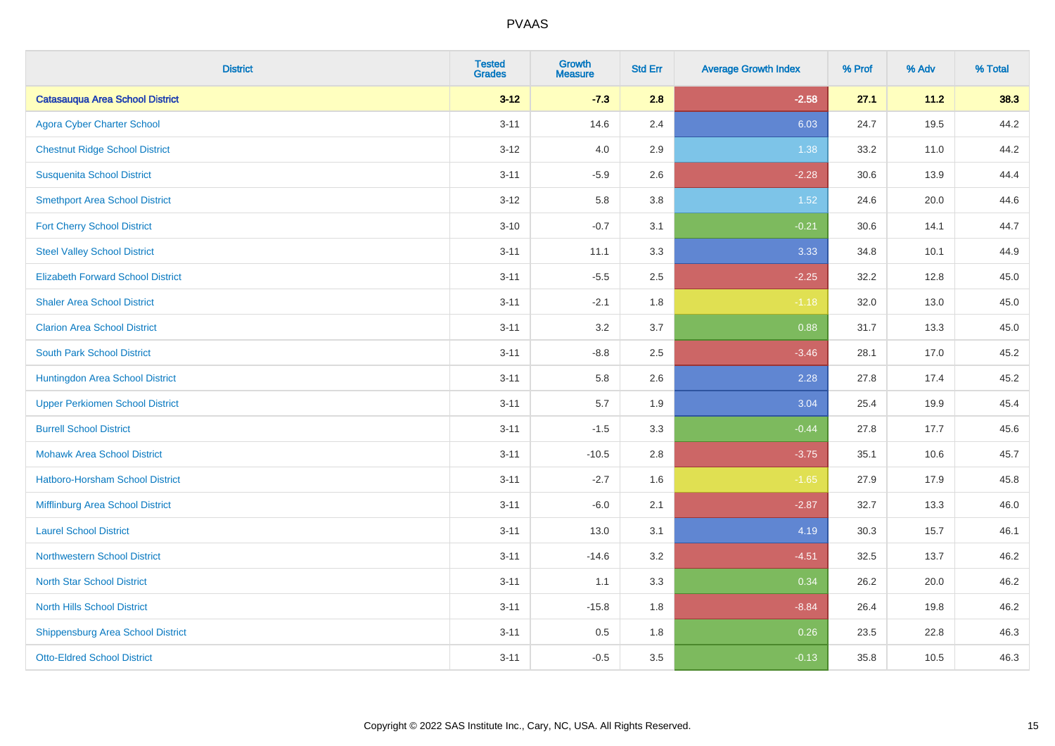| <b>District</b>                          | <b>Tested</b><br><b>Grades</b> | <b>Growth</b><br><b>Measure</b> | <b>Std Err</b> | <b>Average Growth Index</b> | % Prof | % Adv | % Total |
|------------------------------------------|--------------------------------|---------------------------------|----------------|-----------------------------|--------|-------|---------|
| <b>Catasauqua Area School District</b>   | $3 - 12$                       | $-7.3$                          | 2.8            | $-2.58$                     | 27.1   | 11.2  | 38.3    |
| <b>Agora Cyber Charter School</b>        | $3 - 11$                       | 14.6                            | 2.4            | 6.03                        | 24.7   | 19.5  | 44.2    |
| <b>Chestnut Ridge School District</b>    | $3 - 12$                       | 4.0                             | 2.9            | 1.38                        | 33.2   | 11.0  | 44.2    |
| <b>Susquenita School District</b>        | $3 - 11$                       | $-5.9$                          | 2.6            | $-2.28$                     | 30.6   | 13.9  | 44.4    |
| <b>Smethport Area School District</b>    | $3 - 12$                       | 5.8                             | 3.8            | 1.52                        | 24.6   | 20.0  | 44.6    |
| <b>Fort Cherry School District</b>       | $3 - 10$                       | $-0.7$                          | 3.1            | $-0.21$                     | 30.6   | 14.1  | 44.7    |
| <b>Steel Valley School District</b>      | $3 - 11$                       | 11.1                            | 3.3            | 3.33                        | 34.8   | 10.1  | 44.9    |
| <b>Elizabeth Forward School District</b> | $3 - 11$                       | $-5.5$                          | 2.5            | $-2.25$                     | 32.2   | 12.8  | 45.0    |
| <b>Shaler Area School District</b>       | $3 - 11$                       | $-2.1$                          | 1.8            | $-1.18$                     | 32.0   | 13.0  | 45.0    |
| <b>Clarion Area School District</b>      | $3 - 11$                       | 3.2                             | 3.7            | 0.88                        | 31.7   | 13.3  | 45.0    |
| <b>South Park School District</b>        | $3 - 11$                       | $-8.8$                          | 2.5            | $-3.46$                     | 28.1   | 17.0  | 45.2    |
| Huntingdon Area School District          | $3 - 11$                       | 5.8                             | 2.6            | 2.28                        | 27.8   | 17.4  | 45.2    |
| <b>Upper Perkiomen School District</b>   | $3 - 11$                       | 5.7                             | 1.9            | 3.04                        | 25.4   | 19.9  | 45.4    |
| <b>Burrell School District</b>           | $3 - 11$                       | $-1.5$                          | 3.3            | $-0.44$                     | 27.8   | 17.7  | 45.6    |
| <b>Mohawk Area School District</b>       | $3 - 11$                       | $-10.5$                         | 2.8            | $-3.75$                     | 35.1   | 10.6  | 45.7    |
| <b>Hatboro-Horsham School District</b>   | $3 - 11$                       | $-2.7$                          | 1.6            | $-1.65$                     | 27.9   | 17.9  | 45.8    |
| Mifflinburg Area School District         | $3 - 11$                       | $-6.0$                          | 2.1            | $-2.87$                     | 32.7   | 13.3  | 46.0    |
| <b>Laurel School District</b>            | $3 - 11$                       | 13.0                            | 3.1            | 4.19                        | 30.3   | 15.7  | 46.1    |
| Northwestern School District             | $3 - 11$                       | $-14.6$                         | 3.2            | $-4.51$                     | 32.5   | 13.7  | 46.2    |
| <b>North Star School District</b>        | $3 - 11$                       | 1.1                             | 3.3            | 0.34                        | 26.2   | 20.0  | 46.2    |
| <b>North Hills School District</b>       | $3 - 11$                       | $-15.8$                         | 1.8            | $-8.84$                     | 26.4   | 19.8  | 46.2    |
| <b>Shippensburg Area School District</b> | $3 - 11$                       | 0.5                             | 1.8            | 0.26                        | 23.5   | 22.8  | 46.3    |
| <b>Otto-Eldred School District</b>       | $3 - 11$                       | $-0.5$                          | 3.5            | $-0.13$                     | 35.8   | 10.5  | 46.3    |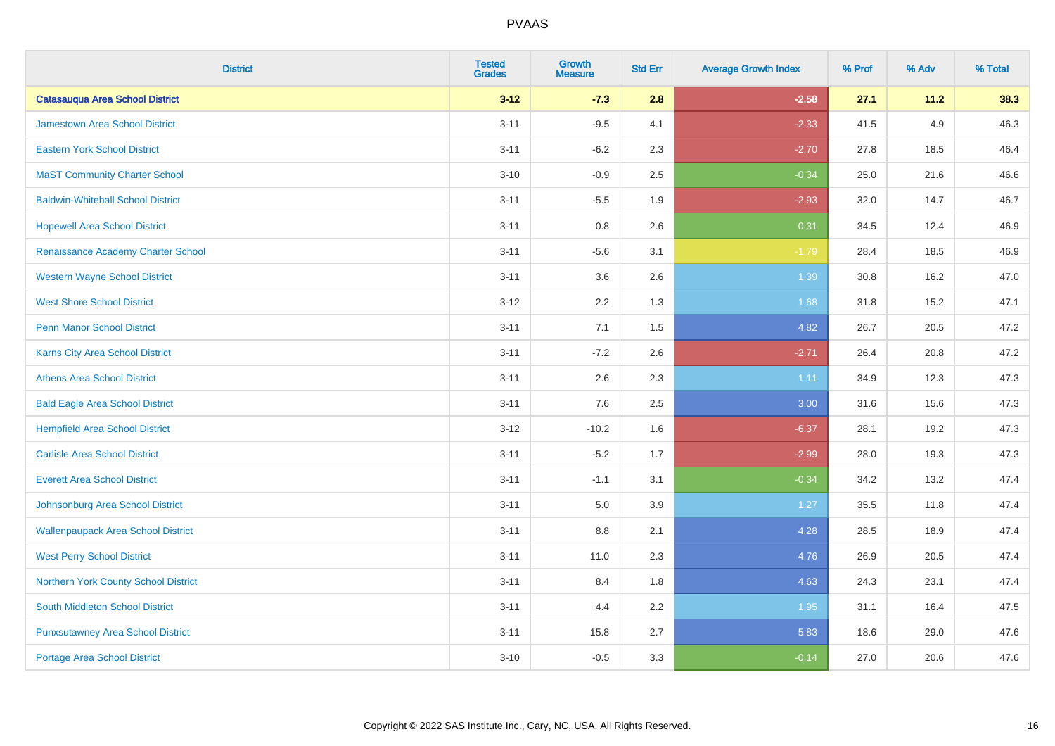| <b>District</b>                           | <b>Tested</b><br><b>Grades</b> | <b>Growth</b><br><b>Measure</b> | <b>Std Err</b> | <b>Average Growth Index</b> | % Prof | % Adv | % Total |
|-------------------------------------------|--------------------------------|---------------------------------|----------------|-----------------------------|--------|-------|---------|
| <b>Catasauqua Area School District</b>    | $3 - 12$                       | $-7.3$                          | 2.8            | $-2.58$                     | 27.1   | 11.2  | 38.3    |
| <b>Jamestown Area School District</b>     | $3 - 11$                       | $-9.5$                          | 4.1            | $-2.33$                     | 41.5   | 4.9   | 46.3    |
| <b>Eastern York School District</b>       | $3 - 11$                       | $-6.2$                          | 2.3            | $-2.70$                     | 27.8   | 18.5  | 46.4    |
| <b>MaST Community Charter School</b>      | $3 - 10$                       | $-0.9$                          | 2.5            | $-0.34$                     | 25.0   | 21.6  | 46.6    |
| <b>Baldwin-Whitehall School District</b>  | $3 - 11$                       | $-5.5$                          | 1.9            | $-2.93$                     | 32.0   | 14.7  | 46.7    |
| <b>Hopewell Area School District</b>      | $3 - 11$                       | 0.8                             | 2.6            | 0.31                        | 34.5   | 12.4  | 46.9    |
| Renaissance Academy Charter School        | $3 - 11$                       | $-5.6$                          | 3.1            | $-1.79$                     | 28.4   | 18.5  | 46.9    |
| <b>Western Wayne School District</b>      | $3 - 11$                       | 3.6                             | 2.6            | 1.39                        | 30.8   | 16.2  | 47.0    |
| <b>West Shore School District</b>         | $3-12$                         | 2.2                             | 1.3            | 1.68                        | 31.8   | 15.2  | 47.1    |
| <b>Penn Manor School District</b>         | $3 - 11$                       | 7.1                             | 1.5            | 4.82                        | 26.7   | 20.5  | 47.2    |
| <b>Karns City Area School District</b>    | $3 - 11$                       | $-7.2$                          | 2.6            | $-2.71$                     | 26.4   | 20.8  | 47.2    |
| <b>Athens Area School District</b>        | $3 - 11$                       | 2.6                             | 2.3            | 1.11                        | 34.9   | 12.3  | 47.3    |
| <b>Bald Eagle Area School District</b>    | $3 - 11$                       | 7.6                             | 2.5            | 3.00                        | 31.6   | 15.6  | 47.3    |
| <b>Hempfield Area School District</b>     | $3 - 12$                       | $-10.2$                         | 1.6            | $-6.37$                     | 28.1   | 19.2  | 47.3    |
| <b>Carlisle Area School District</b>      | $3 - 11$                       | $-5.2$                          | 1.7            | $-2.99$                     | 28.0   | 19.3  | 47.3    |
| <b>Everett Area School District</b>       | $3 - 11$                       | $-1.1$                          | 3.1            | $-0.34$                     | 34.2   | 13.2  | 47.4    |
| Johnsonburg Area School District          | $3 - 11$                       | 5.0                             | 3.9            | 1.27                        | 35.5   | 11.8  | 47.4    |
| <b>Wallenpaupack Area School District</b> | $3 - 11$                       | 8.8                             | 2.1            | 4.28                        | 28.5   | 18.9  | 47.4    |
| <b>West Perry School District</b>         | $3 - 11$                       | 11.0                            | 2.3            | 4.76                        | 26.9   | 20.5  | 47.4    |
| Northern York County School District      | $3 - 11$                       | 8.4                             | 1.8            | 4.63                        | 24.3   | 23.1  | 47.4    |
| <b>South Middleton School District</b>    | $3 - 11$                       | 4.4                             | 2.2            | 1.95                        | 31.1   | 16.4  | 47.5    |
| <b>Punxsutawney Area School District</b>  | $3 - 11$                       | 15.8                            | 2.7            | 5.83                        | 18.6   | 29.0  | 47.6    |
| <b>Portage Area School District</b>       | $3 - 10$                       | $-0.5$                          | 3.3            | $-0.14$                     | 27.0   | 20.6  | 47.6    |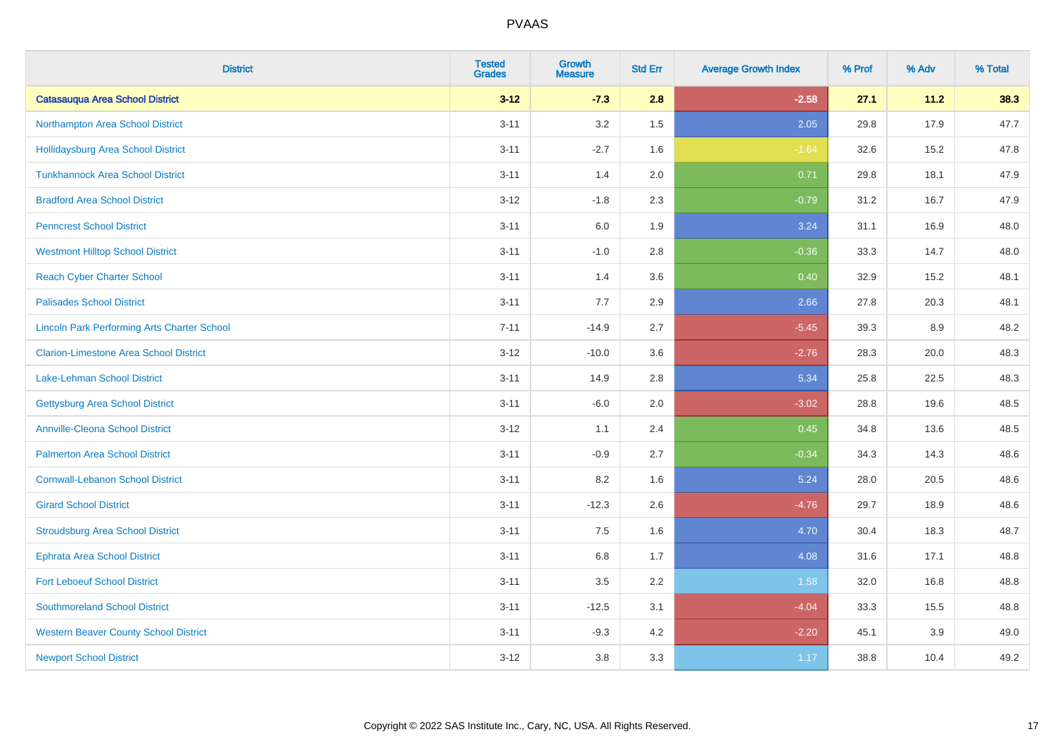| <b>District</b>                                    | <b>Tested</b><br><b>Grades</b> | <b>Growth</b><br><b>Measure</b> | <b>Std Err</b> | <b>Average Growth Index</b> | % Prof | % Adv | % Total |
|----------------------------------------------------|--------------------------------|---------------------------------|----------------|-----------------------------|--------|-------|---------|
| <b>Catasauqua Area School District</b>             | $3 - 12$                       | $-7.3$                          | 2.8            | $-2.58$                     | 27.1   | 11.2  | 38.3    |
| Northampton Area School District                   | $3 - 11$                       | 3.2                             | 1.5            | 2.05                        | 29.8   | 17.9  | 47.7    |
| <b>Hollidaysburg Area School District</b>          | $3 - 11$                       | $-2.7$                          | 1.6            | $-1.64$                     | 32.6   | 15.2  | 47.8    |
| <b>Tunkhannock Area School District</b>            | $3 - 11$                       | 1.4                             | 2.0            | 0.71                        | 29.8   | 18.1  | 47.9    |
| <b>Bradford Area School District</b>               | $3 - 12$                       | $-1.8$                          | 2.3            | $-0.79$                     | 31.2   | 16.7  | 47.9    |
| <b>Penncrest School District</b>                   | $3 - 11$                       | $6.0\,$                         | 1.9            | 3.24                        | 31.1   | 16.9  | 48.0    |
| <b>Westmont Hilltop School District</b>            | $3 - 11$                       | $-1.0$                          | 2.8            | $-0.36$                     | 33.3   | 14.7  | 48.0    |
| <b>Reach Cyber Charter School</b>                  | $3 - 11$                       | 1.4                             | 3.6            | 0.40                        | 32.9   | 15.2  | 48.1    |
| <b>Palisades School District</b>                   | $3 - 11$                       | 7.7                             | 2.9            | 2.66                        | 27.8   | 20.3  | 48.1    |
| <b>Lincoln Park Performing Arts Charter School</b> | $7 - 11$                       | $-14.9$                         | 2.7            | $-5.45$                     | 39.3   | 8.9   | 48.2    |
| <b>Clarion-Limestone Area School District</b>      | $3-12$                         | $-10.0$                         | 3.6            | $-2.76$                     | 28.3   | 20.0  | 48.3    |
| <b>Lake-Lehman School District</b>                 | $3 - 11$                       | 14.9                            | 2.8            | 5.34                        | 25.8   | 22.5  | 48.3    |
| <b>Gettysburg Area School District</b>             | $3 - 11$                       | $-6.0$                          | 2.0            | $-3.02$                     | 28.8   | 19.6  | 48.5    |
| <b>Annville-Cleona School District</b>             | $3-12$                         | 1.1                             | 2.4            | 0.45                        | 34.8   | 13.6  | 48.5    |
| <b>Palmerton Area School District</b>              | $3 - 11$                       | $-0.9$                          | 2.7            | $-0.34$                     | 34.3   | 14.3  | 48.6    |
| <b>Cornwall-Lebanon School District</b>            | $3 - 11$                       | 8.2                             | 1.6            | 5.24                        | 28.0   | 20.5  | 48.6    |
| <b>Girard School District</b>                      | $3 - 11$                       | $-12.3$                         | 2.6            | $-4.76$                     | 29.7   | 18.9  | 48.6    |
| <b>Stroudsburg Area School District</b>            | $3 - 11$                       | 7.5                             | 1.6            | 4.70                        | 30.4   | 18.3  | 48.7    |
| <b>Ephrata Area School District</b>                | $3 - 11$                       | $6.8\,$                         | 1.7            | 4.08                        | 31.6   | 17.1  | 48.8    |
| <b>Fort Leboeuf School District</b>                | $3 - 11$                       | 3.5                             | 2.2            | 1.58                        | 32.0   | 16.8  | 48.8    |
| <b>Southmoreland School District</b>               | $3 - 11$                       | $-12.5$                         | 3.1            | $-4.04$                     | 33.3   | 15.5  | 48.8    |
| <b>Western Beaver County School District</b>       | $3 - 11$                       | $-9.3$                          | 4.2            | $-2.20$                     | 45.1   | 3.9   | 49.0    |
| <b>Newport School District</b>                     | $3-12$                         | 3.8                             | 3.3            | 1.17                        | 38.8   | 10.4  | 49.2    |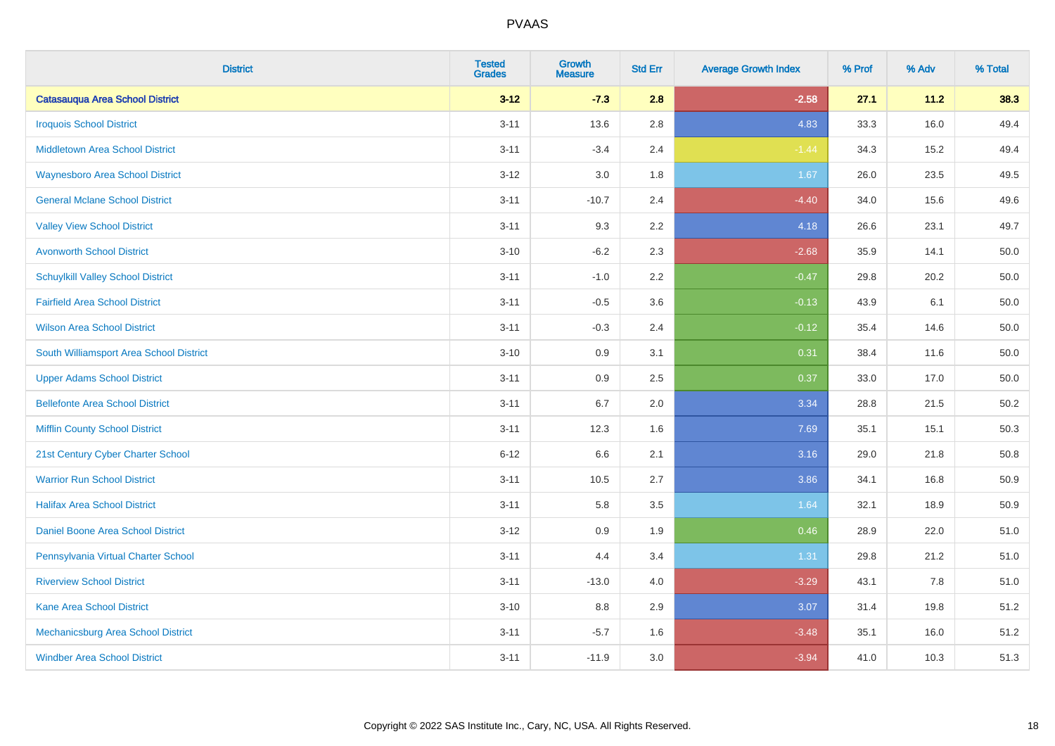| <b>District</b>                          | <b>Tested</b><br><b>Grades</b> | <b>Growth</b><br><b>Measure</b> | <b>Std Err</b> | <b>Average Growth Index</b> | % Prof | % Adv | % Total |
|------------------------------------------|--------------------------------|---------------------------------|----------------|-----------------------------|--------|-------|---------|
| <b>Catasauqua Area School District</b>   | $3 - 12$                       | $-7.3$                          | 2.8            | $-2.58$                     | 27.1   | 11.2  | 38.3    |
| <b>Iroquois School District</b>          | $3 - 11$                       | 13.6                            | 2.8            | 4.83                        | 33.3   | 16.0  | 49.4    |
| <b>Middletown Area School District</b>   | $3 - 11$                       | $-3.4$                          | 2.4            | $-1.44$                     | 34.3   | 15.2  | 49.4    |
| <b>Waynesboro Area School District</b>   | $3 - 12$                       | 3.0                             | 1.8            | 1.67                        | 26.0   | 23.5  | 49.5    |
| <b>General Mclane School District</b>    | $3 - 11$                       | $-10.7$                         | 2.4            | $-4.40$                     | 34.0   | 15.6  | 49.6    |
| <b>Valley View School District</b>       | $3 - 11$                       | 9.3                             | 2.2            | 4.18                        | 26.6   | 23.1  | 49.7    |
| <b>Avonworth School District</b>         | $3 - 10$                       | $-6.2$                          | 2.3            | $-2.68$                     | 35.9   | 14.1  | 50.0    |
| <b>Schuylkill Valley School District</b> | $3 - 11$                       | $-1.0$                          | 2.2            | $-0.47$                     | 29.8   | 20.2  | 50.0    |
| <b>Fairfield Area School District</b>    | $3 - 11$                       | $-0.5$                          | 3.6            | $-0.13$                     | 43.9   | 6.1   | 50.0    |
| <b>Wilson Area School District</b>       | $3 - 11$                       | $-0.3$                          | 2.4            | $-0.12$                     | 35.4   | 14.6  | 50.0    |
| South Williamsport Area School District  | $3 - 10$                       | 0.9                             | 3.1            | 0.31                        | 38.4   | 11.6  | 50.0    |
| <b>Upper Adams School District</b>       | $3 - 11$                       | 0.9                             | 2.5            | 0.37                        | 33.0   | 17.0  | 50.0    |
| <b>Bellefonte Area School District</b>   | $3 - 11$                       | 6.7                             | 2.0            | 3.34                        | 28.8   | 21.5  | 50.2    |
| <b>Mifflin County School District</b>    | $3 - 11$                       | 12.3                            | 1.6            | 7.69                        | 35.1   | 15.1  | 50.3    |
| 21st Century Cyber Charter School        | $6 - 12$                       | 6.6                             | 2.1            | 3.16                        | 29.0   | 21.8  | 50.8    |
| <b>Warrior Run School District</b>       | $3 - 11$                       | 10.5                            | 2.7            | 3.86                        | 34.1   | 16.8  | 50.9    |
| <b>Halifax Area School District</b>      | $3 - 11$                       | 5.8                             | 3.5            | 1.64                        | 32.1   | 18.9  | 50.9    |
| Daniel Boone Area School District        | $3 - 12$                       | 0.9                             | 1.9            | 0.46                        | 28.9   | 22.0  | 51.0    |
| Pennsylvania Virtual Charter School      | $3 - 11$                       | 4.4                             | 3.4            | 1.31                        | 29.8   | 21.2  | 51.0    |
| <b>Riverview School District</b>         | $3 - 11$                       | $-13.0$                         | 4.0            | $-3.29$                     | 43.1   | 7.8   | 51.0    |
| Kane Area School District                | $3 - 10$                       | 8.8                             | 2.9            | 3.07                        | 31.4   | 19.8  | 51.2    |
| Mechanicsburg Area School District       | $3 - 11$                       | $-5.7$                          | 1.6            | $-3.48$                     | 35.1   | 16.0  | 51.2    |
| <b>Windber Area School District</b>      | $3 - 11$                       | $-11.9$                         | 3.0            | $-3.94$                     | 41.0   | 10.3  | 51.3    |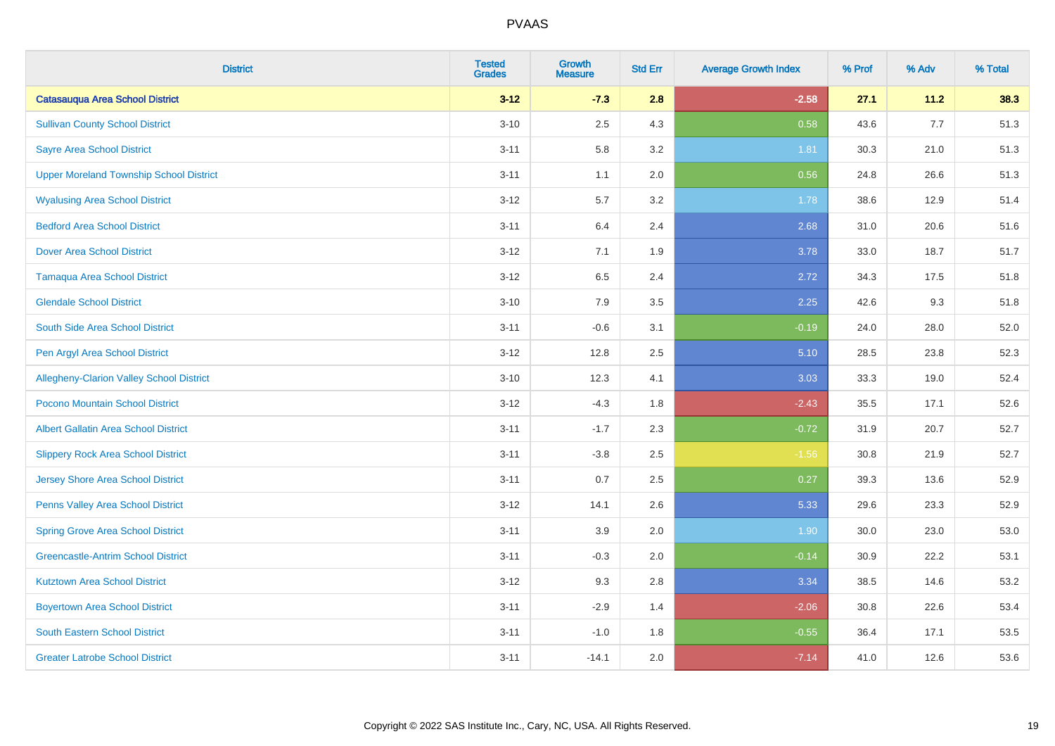| <b>District</b>                                 | <b>Tested</b><br><b>Grades</b> | <b>Growth</b><br><b>Measure</b> | <b>Std Err</b> | <b>Average Growth Index</b> | % Prof | % Adv | % Total |
|-------------------------------------------------|--------------------------------|---------------------------------|----------------|-----------------------------|--------|-------|---------|
| <b>Catasauqua Area School District</b>          | $3 - 12$                       | $-7.3$                          | 2.8            | $-2.58$                     | 27.1   | 11.2  | 38.3    |
| <b>Sullivan County School District</b>          | $3 - 10$                       | 2.5                             | 4.3            | 0.58                        | 43.6   | 7.7   | 51.3    |
| <b>Sayre Area School District</b>               | $3 - 11$                       | 5.8                             | 3.2            | 1.81                        | 30.3   | 21.0  | 51.3    |
| <b>Upper Moreland Township School District</b>  | $3 - 11$                       | 1.1                             | 2.0            | 0.56                        | 24.8   | 26.6  | 51.3    |
| <b>Wyalusing Area School District</b>           | $3 - 12$                       | 5.7                             | 3.2            | 1.78                        | 38.6   | 12.9  | 51.4    |
| <b>Bedford Area School District</b>             | $3 - 11$                       | 6.4                             | 2.4            | 2.68                        | 31.0   | 20.6  | 51.6    |
| <b>Dover Area School District</b>               | $3 - 12$                       | 7.1                             | 1.9            | 3.78                        | 33.0   | 18.7  | 51.7    |
| <b>Tamaqua Area School District</b>             | $3 - 12$                       | 6.5                             | 2.4            | 2.72                        | 34.3   | 17.5  | 51.8    |
| <b>Glendale School District</b>                 | $3 - 10$                       | 7.9                             | 3.5            | 2.25                        | 42.6   | 9.3   | 51.8    |
| South Side Area School District                 | $3 - 11$                       | $-0.6$                          | 3.1            | $-0.19$                     | 24.0   | 28.0  | 52.0    |
| Pen Argyl Area School District                  | $3 - 12$                       | 12.8                            | 2.5            | 5.10                        | 28.5   | 23.8  | 52.3    |
| <b>Allegheny-Clarion Valley School District</b> | $3 - 10$                       | 12.3                            | 4.1            | 3.03                        | 33.3   | 19.0  | 52.4    |
| Pocono Mountain School District                 | $3 - 12$                       | $-4.3$                          | 1.8            | $-2.43$                     | 35.5   | 17.1  | 52.6    |
| <b>Albert Gallatin Area School District</b>     | $3 - 11$                       | $-1.7$                          | 2.3            | $-0.72$                     | 31.9   | 20.7  | 52.7    |
| <b>Slippery Rock Area School District</b>       | $3 - 11$                       | $-3.8$                          | 2.5            | $-1.56$                     | 30.8   | 21.9  | 52.7    |
| Jersey Shore Area School District               | $3 - 11$                       | 0.7                             | 2.5            | 0.27                        | 39.3   | 13.6  | 52.9    |
| Penns Valley Area School District               | $3 - 12$                       | 14.1                            | 2.6            | 5.33                        | 29.6   | 23.3  | 52.9    |
| <b>Spring Grove Area School District</b>        | $3 - 11$                       | 3.9                             | 2.0            | 1.90                        | 30.0   | 23.0  | 53.0    |
| <b>Greencastle-Antrim School District</b>       | $3 - 11$                       | $-0.3$                          | 2.0            | $-0.14$                     | 30.9   | 22.2  | 53.1    |
| <b>Kutztown Area School District</b>            | $3 - 12$                       | 9.3                             | 2.8            | 3.34                        | 38.5   | 14.6  | 53.2    |
| <b>Boyertown Area School District</b>           | $3 - 11$                       | $-2.9$                          | 1.4            | $-2.06$                     | 30.8   | 22.6  | 53.4    |
| South Eastern School District                   | $3 - 11$                       | $-1.0$                          | 1.8            | $-0.55$                     | 36.4   | 17.1  | 53.5    |
| <b>Greater Latrobe School District</b>          | $3 - 11$                       | $-14.1$                         | 2.0            | $-7.14$                     | 41.0   | 12.6  | 53.6    |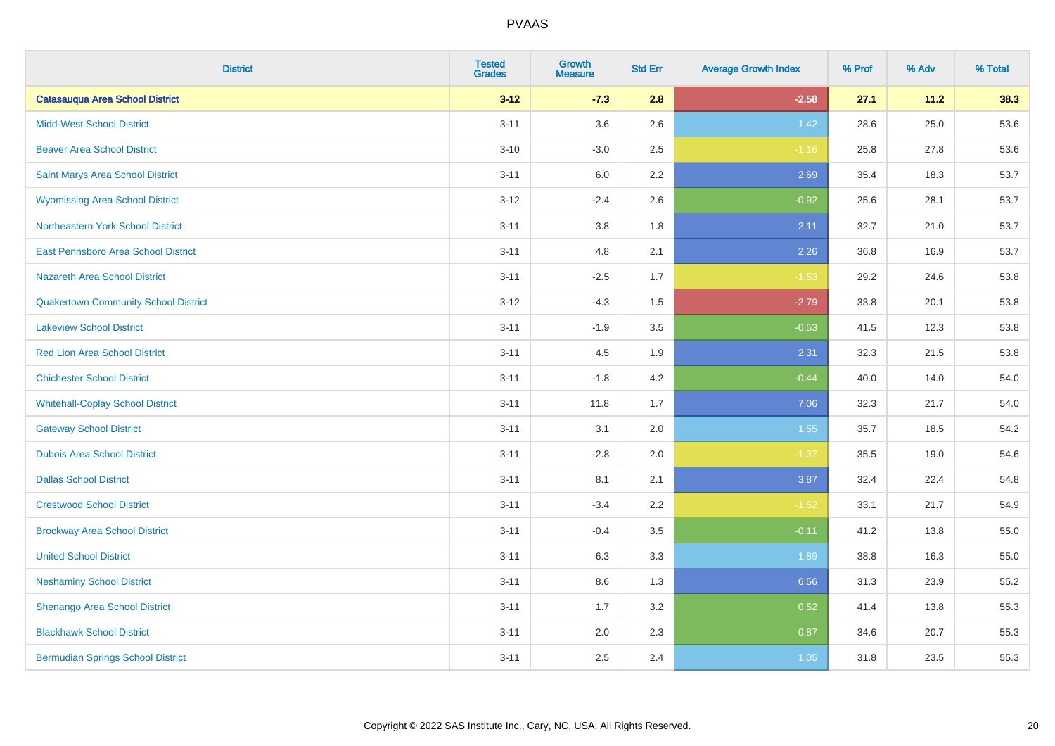| <b>District</b>                             | <b>Tested</b><br><b>Grades</b> | <b>Growth</b><br><b>Measure</b> | <b>Std Err</b> | <b>Average Growth Index</b> | % Prof | % Adv | % Total |
|---------------------------------------------|--------------------------------|---------------------------------|----------------|-----------------------------|--------|-------|---------|
| <b>Catasauqua Area School District</b>      | $3 - 12$                       | $-7.3$                          | 2.8            | $-2.58$                     | 27.1   | 11.2  | 38.3    |
| <b>Midd-West School District</b>            | $3 - 11$                       | 3.6                             | 2.6            | 1.42                        | 28.6   | 25.0  | 53.6    |
| <b>Beaver Area School District</b>          | $3 - 10$                       | $-3.0$                          | 2.5            | $-1.16$                     | 25.8   | 27.8  | 53.6    |
| Saint Marys Area School District            | $3 - 11$                       | 6.0                             | 2.2            | 2.69                        | 35.4   | 18.3  | 53.7    |
| <b>Wyomissing Area School District</b>      | $3 - 12$                       | $-2.4$                          | 2.6            | $-0.92$                     | 25.6   | 28.1  | 53.7    |
| <b>Northeastern York School District</b>    | $3 - 11$                       | 3.8                             | 1.8            | 2.11                        | 32.7   | 21.0  | 53.7    |
| East Pennsboro Area School District         | $3 - 11$                       | 4.8                             | 2.1            | 2.26                        | 36.8   | 16.9  | 53.7    |
| <b>Nazareth Area School District</b>        | $3 - 11$                       | $-2.5$                          | 1.7            | $-1.53$                     | 29.2   | 24.6  | 53.8    |
| <b>Quakertown Community School District</b> | $3 - 12$                       | $-4.3$                          | 1.5            | $-2.79$                     | 33.8   | 20.1  | 53.8    |
| <b>Lakeview School District</b>             | $3 - 11$                       | $-1.9$                          | 3.5            | $-0.53$                     | 41.5   | 12.3  | 53.8    |
| <b>Red Lion Area School District</b>        | $3 - 11$                       | 4.5                             | 1.9            | 2.31                        | 32.3   | 21.5  | 53.8    |
| <b>Chichester School District</b>           | $3 - 11$                       | $-1.8$                          | 4.2            | $-0.44$                     | 40.0   | 14.0  | 54.0    |
| <b>Whitehall-Coplay School District</b>     | $3 - 11$                       | 11.8                            | 1.7            | 7.06                        | 32.3   | 21.7  | 54.0    |
| <b>Gateway School District</b>              | $3 - 11$                       | 3.1                             | 2.0            | 1.55                        | 35.7   | 18.5  | 54.2    |
| <b>Dubois Area School District</b>          | $3 - 11$                       | $-2.8$                          | 2.0            | $-1.37$                     | 35.5   | 19.0  | 54.6    |
| <b>Dallas School District</b>               | $3 - 11$                       | 8.1                             | 2.1            | 3.87                        | 32.4   | 22.4  | 54.8    |
| <b>Crestwood School District</b>            | $3 - 11$                       | $-3.4$                          | 2.2            | $-1.52$                     | 33.1   | 21.7  | 54.9    |
| <b>Brockway Area School District</b>        | $3 - 11$                       | $-0.4$                          | 3.5            | $-0.11$                     | 41.2   | 13.8  | 55.0    |
| <b>United School District</b>               | $3 - 11$                       | 6.3                             | 3.3            | 1.89                        | 38.8   | 16.3  | 55.0    |
| <b>Neshaminy School District</b>            | $3 - 11$                       | $8.6\,$                         | 1.3            | 6.56                        | 31.3   | 23.9  | 55.2    |
| Shenango Area School District               | $3 - 11$                       | 1.7                             | 3.2            | 0.52                        | 41.4   | 13.8  | 55.3    |
| <b>Blackhawk School District</b>            | $3 - 11$                       | 2.0                             | 2.3            | 0.87                        | 34.6   | 20.7  | 55.3    |
| <b>Bermudian Springs School District</b>    | $3 - 11$                       | 2.5                             | 2.4            | 1.05                        | 31.8   | 23.5  | 55.3    |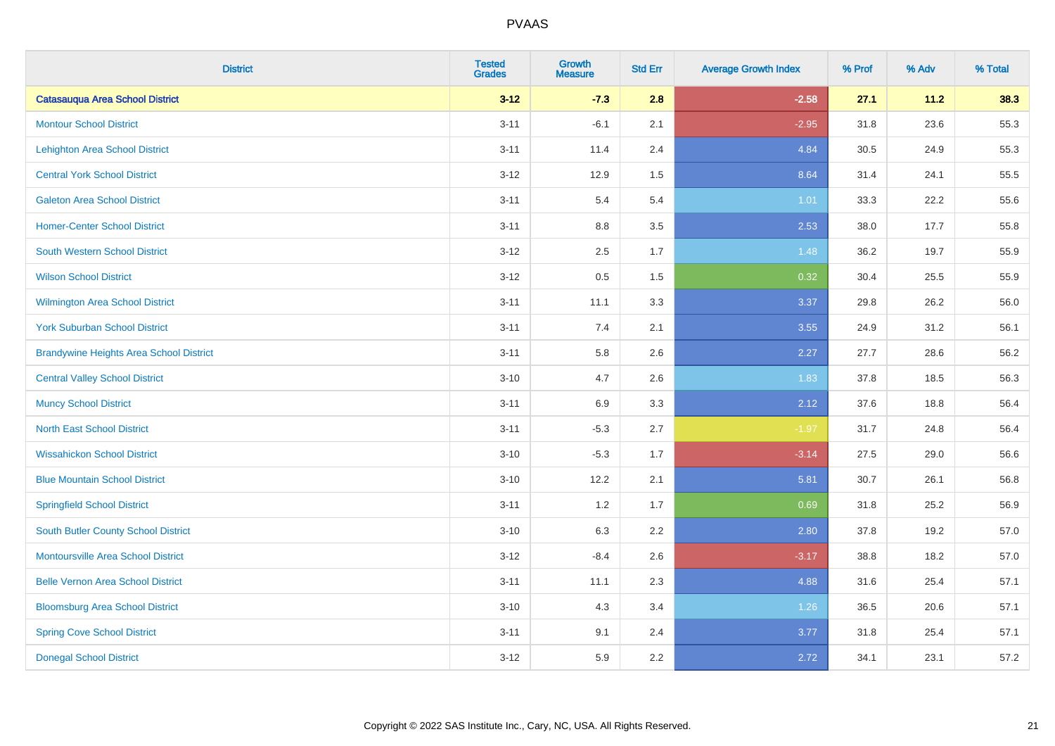| <b>District</b>                                | <b>Tested</b><br><b>Grades</b> | <b>Growth</b><br><b>Measure</b> | <b>Std Err</b> | <b>Average Growth Index</b> | % Prof | % Adv | % Total |
|------------------------------------------------|--------------------------------|---------------------------------|----------------|-----------------------------|--------|-------|---------|
| <b>Catasauqua Area School District</b>         | $3 - 12$                       | $-7.3$                          | 2.8            | $-2.58$                     | 27.1   | 11.2  | 38.3    |
| <b>Montour School District</b>                 | $3 - 11$                       | $-6.1$                          | 2.1            | $-2.95$                     | 31.8   | 23.6  | 55.3    |
| <b>Lehighton Area School District</b>          | $3 - 11$                       | 11.4                            | 2.4            | 4.84                        | 30.5   | 24.9  | 55.3    |
| <b>Central York School District</b>            | $3 - 12$                       | 12.9                            | $1.5\,$        | 8.64                        | 31.4   | 24.1  | 55.5    |
| <b>Galeton Area School District</b>            | $3 - 11$                       | 5.4                             | 5.4            | 1.01                        | 33.3   | 22.2  | 55.6    |
| <b>Homer-Center School District</b>            | $3 - 11$                       | 8.8                             | 3.5            | 2.53                        | 38.0   | 17.7  | 55.8    |
| <b>South Western School District</b>           | $3 - 12$                       | 2.5                             | 1.7            | 1.48                        | 36.2   | 19.7  | 55.9    |
| <b>Wilson School District</b>                  | $3 - 12$                       | 0.5                             | 1.5            | 0.32                        | 30.4   | 25.5  | 55.9    |
| <b>Wilmington Area School District</b>         | $3 - 11$                       | 11.1                            | 3.3            | 3.37                        | 29.8   | 26.2  | 56.0    |
| <b>York Suburban School District</b>           | $3 - 11$                       | 7.4                             | 2.1            | 3.55                        | 24.9   | 31.2  | 56.1    |
| <b>Brandywine Heights Area School District</b> | $3 - 11$                       | 5.8                             | 2.6            | 2.27                        | 27.7   | 28.6  | 56.2    |
| <b>Central Valley School District</b>          | $3 - 10$                       | 4.7                             | 2.6            | 1.83                        | 37.8   | 18.5  | 56.3    |
| <b>Muncy School District</b>                   | $3 - 11$                       | 6.9                             | 3.3            | 2.12                        | 37.6   | 18.8  | 56.4    |
| <b>North East School District</b>              | $3 - 11$                       | $-5.3$                          | 2.7            | $-1.97$                     | 31.7   | 24.8  | 56.4    |
| <b>Wissahickon School District</b>             | $3 - 10$                       | $-5.3$                          | 1.7            | $-3.14$                     | 27.5   | 29.0  | 56.6    |
| <b>Blue Mountain School District</b>           | $3 - 10$                       | 12.2                            | 2.1            | 5.81                        | 30.7   | 26.1  | 56.8    |
| <b>Springfield School District</b>             | $3 - 11$                       | 1.2                             | 1.7            | 0.69                        | 31.8   | 25.2  | 56.9    |
| South Butler County School District            | $3 - 10$                       | 6.3                             | 2.2            | 2.80                        | 37.8   | 19.2  | 57.0    |
| <b>Montoursville Area School District</b>      | $3 - 12$                       | $-8.4$                          | 2.6            | $-3.17$                     | 38.8   | 18.2  | 57.0    |
| <b>Belle Vernon Area School District</b>       | $3 - 11$                       | 11.1                            | 2.3            | 4.88                        | 31.6   | 25.4  | 57.1    |
| <b>Bloomsburg Area School District</b>         | $3 - 10$                       | 4.3                             | 3.4            | 1.26                        | 36.5   | 20.6  | 57.1    |
| <b>Spring Cove School District</b>             | $3 - 11$                       | 9.1                             | 2.4            | 3.77                        | 31.8   | 25.4  | 57.1    |
| <b>Donegal School District</b>                 | $3 - 12$                       | 5.9                             | 2.2            | 2.72                        | 34.1   | 23.1  | 57.2    |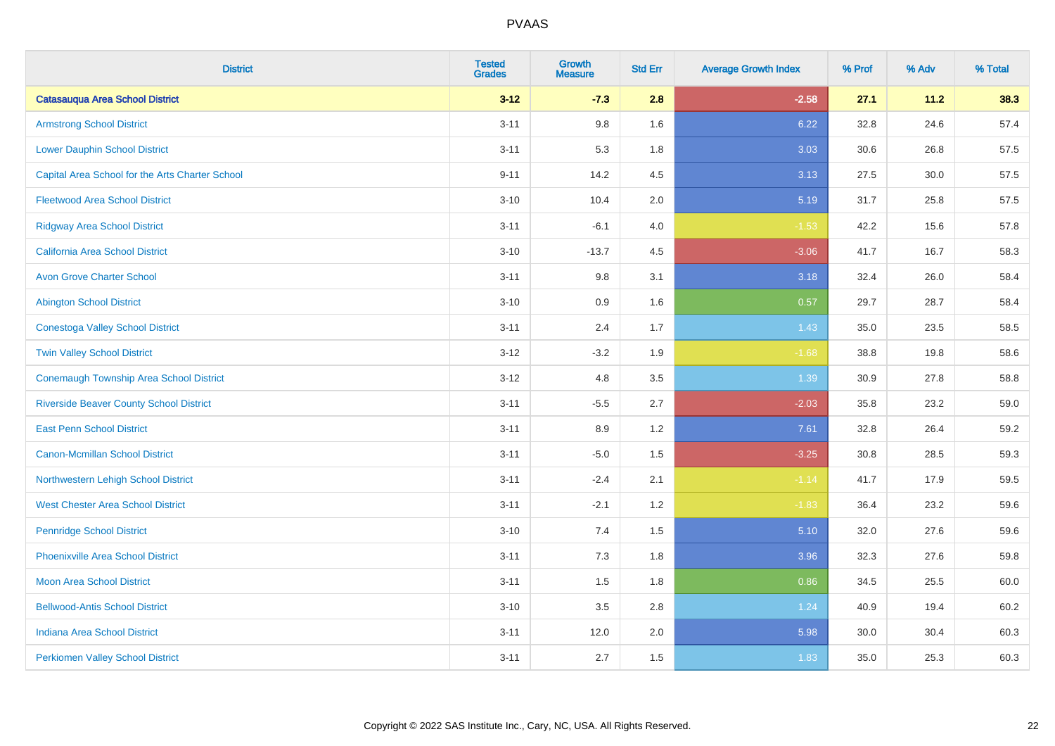| <b>District</b>                                 | <b>Tested</b><br><b>Grades</b> | <b>Growth</b><br><b>Measure</b> | <b>Std Err</b> | <b>Average Growth Index</b> | % Prof | % Adv | % Total |
|-------------------------------------------------|--------------------------------|---------------------------------|----------------|-----------------------------|--------|-------|---------|
| <b>Catasauqua Area School District</b>          | $3 - 12$                       | $-7.3$                          | 2.8            | $-2.58$                     | 27.1   | 11.2  | 38.3    |
| <b>Armstrong School District</b>                | $3 - 11$                       | $9.8\,$                         | 1.6            | 6.22                        | 32.8   | 24.6  | 57.4    |
| <b>Lower Dauphin School District</b>            | $3 - 11$                       | 5.3                             | 1.8            | 3.03                        | 30.6   | 26.8  | 57.5    |
| Capital Area School for the Arts Charter School | $9 - 11$                       | 14.2                            | 4.5            | 3.13                        | 27.5   | 30.0  | 57.5    |
| <b>Fleetwood Area School District</b>           | $3 - 10$                       | 10.4                            | 2.0            | 5.19                        | 31.7   | 25.8  | 57.5    |
| <b>Ridgway Area School District</b>             | $3 - 11$                       | $-6.1$                          | 4.0            | $-1.53$                     | 42.2   | 15.6  | 57.8    |
| California Area School District                 | $3 - 10$                       | $-13.7$                         | 4.5            | $-3.06$                     | 41.7   | 16.7  | 58.3    |
| <b>Avon Grove Charter School</b>                | $3 - 11$                       | $9.8\,$                         | 3.1            | 3.18                        | 32.4   | 26.0  | 58.4    |
| <b>Abington School District</b>                 | $3 - 10$                       | 0.9                             | 1.6            | 0.57                        | 29.7   | 28.7  | 58.4    |
| <b>Conestoga Valley School District</b>         | $3 - 11$                       | 2.4                             | 1.7            | 1.43                        | 35.0   | 23.5  | 58.5    |
| <b>Twin Valley School District</b>              | $3 - 12$                       | $-3.2$                          | 1.9            | $-1.68$                     | 38.8   | 19.8  | 58.6    |
| <b>Conemaugh Township Area School District</b>  | $3 - 12$                       | 4.8                             | 3.5            | 1.39                        | 30.9   | 27.8  | 58.8    |
| <b>Riverside Beaver County School District</b>  | $3 - 11$                       | $-5.5$                          | 2.7            | $-2.03$                     | 35.8   | 23.2  | 59.0    |
| <b>East Penn School District</b>                | $3 - 11$                       | 8.9                             | 1.2            | 7.61                        | 32.8   | 26.4  | 59.2    |
| <b>Canon-Mcmillan School District</b>           | $3 - 11$                       | $-5.0$                          | 1.5            | $-3.25$                     | 30.8   | 28.5  | 59.3    |
| Northwestern Lehigh School District             | $3 - 11$                       | $-2.4$                          | 2.1            | $-1.14$                     | 41.7   | 17.9  | 59.5    |
| <b>West Chester Area School District</b>        | $3 - 11$                       | $-2.1$                          | 1.2            | $-1.83$                     | 36.4   | 23.2  | 59.6    |
| <b>Pennridge School District</b>                | $3 - 10$                       | 7.4                             | 1.5            | 5.10                        | 32.0   | 27.6  | 59.6    |
| <b>Phoenixville Area School District</b>        | $3 - 11$                       | $7.3$                           | 1.8            | 3.96                        | 32.3   | 27.6  | 59.8    |
| Moon Area School District                       | $3 - 11$                       | 1.5                             | 1.8            | 0.86                        | 34.5   | 25.5  | 60.0    |
| <b>Bellwood-Antis School District</b>           | $3 - 10$                       | 3.5                             | 2.8            | 1.24                        | 40.9   | 19.4  | 60.2    |
| <b>Indiana Area School District</b>             | $3 - 11$                       | 12.0                            | 2.0            | 5.98                        | 30.0   | 30.4  | 60.3    |
| <b>Perkiomen Valley School District</b>         | $3 - 11$                       | 2.7                             | 1.5            | 1.83                        | 35.0   | 25.3  | 60.3    |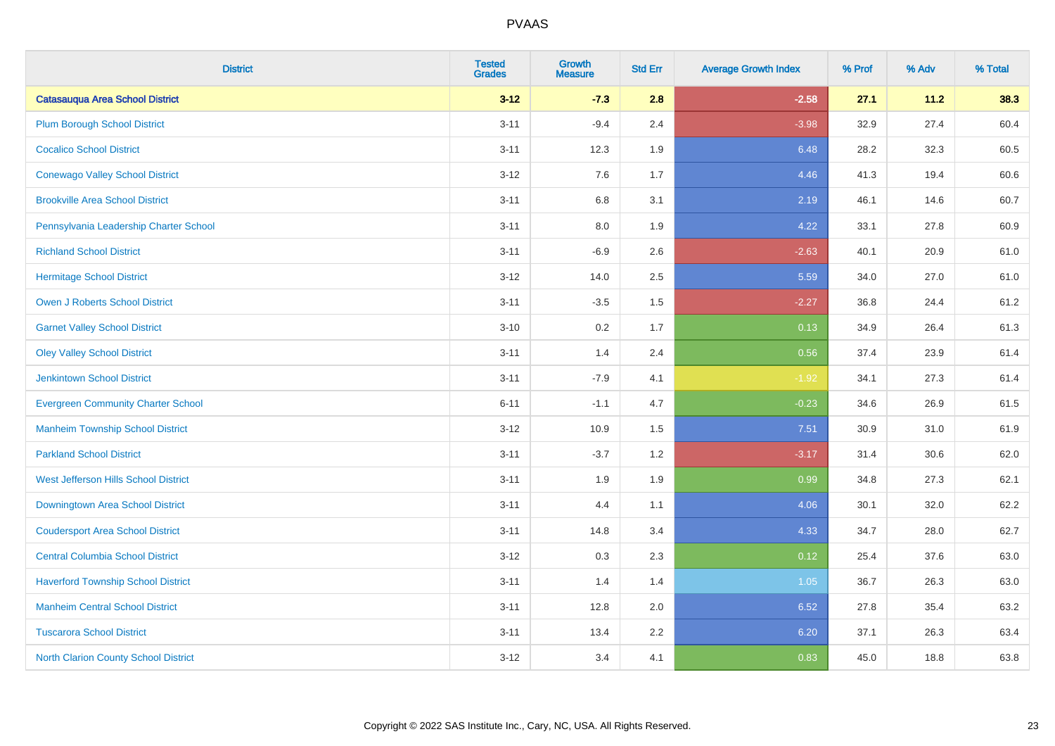| <b>District</b>                           | <b>Tested</b><br><b>Grades</b> | Growth<br><b>Measure</b> | <b>Std Err</b> | <b>Average Growth Index</b> | % Prof | % Adv | % Total |
|-------------------------------------------|--------------------------------|--------------------------|----------------|-----------------------------|--------|-------|---------|
| <b>Catasauqua Area School District</b>    | $3 - 12$                       | $-7.3$                   | 2.8            | $-2.58$                     | 27.1   | 11.2  | 38.3    |
| <b>Plum Borough School District</b>       | $3 - 11$                       | $-9.4$                   | 2.4            | $-3.98$                     | 32.9   | 27.4  | 60.4    |
| <b>Cocalico School District</b>           | $3 - 11$                       | 12.3                     | 1.9            | 6.48                        | 28.2   | 32.3  | 60.5    |
| <b>Conewago Valley School District</b>    | $3 - 12$                       | 7.6                      | 1.7            | 4.46                        | 41.3   | 19.4  | 60.6    |
| <b>Brookville Area School District</b>    | $3 - 11$                       | 6.8                      | 3.1            | 2.19                        | 46.1   | 14.6  | 60.7    |
| Pennsylvania Leadership Charter School    | $3 - 11$                       | $8.0\,$                  | 1.9            | 4.22                        | 33.1   | 27.8  | 60.9    |
| <b>Richland School District</b>           | $3 - 11$                       | $-6.9$                   | 2.6            | $-2.63$                     | 40.1   | 20.9  | 61.0    |
| <b>Hermitage School District</b>          | $3 - 12$                       | 14.0                     | 2.5            | 5.59                        | 34.0   | 27.0  | 61.0    |
| <b>Owen J Roberts School District</b>     | $3 - 11$                       | $-3.5$                   | 1.5            | $-2.27$                     | 36.8   | 24.4  | 61.2    |
| <b>Garnet Valley School District</b>      | $3 - 10$                       | 0.2                      | 1.7            | 0.13                        | 34.9   | 26.4  | 61.3    |
| <b>Oley Valley School District</b>        | $3 - 11$                       | 1.4                      | 2.4            | 0.56                        | 37.4   | 23.9  | 61.4    |
| <b>Jenkintown School District</b>         | $3 - 11$                       | $-7.9$                   | 4.1            | $-1.92$                     | 34.1   | 27.3  | 61.4    |
| <b>Evergreen Community Charter School</b> | $6 - 11$                       | $-1.1$                   | 4.7            | $-0.23$                     | 34.6   | 26.9  | 61.5    |
| <b>Manheim Township School District</b>   | $3 - 12$                       | 10.9                     | 1.5            | 7.51                        | 30.9   | 31.0  | 61.9    |
| <b>Parkland School District</b>           | $3 - 11$                       | $-3.7$                   | 1.2            | $-3.17$                     | 31.4   | 30.6  | 62.0    |
| West Jefferson Hills School District      | $3 - 11$                       | 1.9                      | 1.9            | 0.99                        | 34.8   | 27.3  | 62.1    |
| Downingtown Area School District          | $3 - 11$                       | 4.4                      | 1.1            | 4.06                        | 30.1   | 32.0  | 62.2    |
| <b>Coudersport Area School District</b>   | $3 - 11$                       | 14.8                     | 3.4            | 4.33                        | 34.7   | 28.0  | 62.7    |
| <b>Central Columbia School District</b>   | $3 - 12$                       | 0.3                      | 2.3            | 0.12                        | 25.4   | 37.6  | 63.0    |
| <b>Haverford Township School District</b> | $3 - 11$                       | 1.4                      | 1.4            | 1.05                        | 36.7   | 26.3  | 63.0    |
| <b>Manheim Central School District</b>    | $3 - 11$                       | 12.8                     | 2.0            | 6.52                        | 27.8   | 35.4  | 63.2    |
| <b>Tuscarora School District</b>          | $3 - 11$                       | 13.4                     | 2.2            | 6.20                        | 37.1   | 26.3  | 63.4    |
| North Clarion County School District      | $3 - 12$                       | 3.4                      | 4.1            | 0.83                        | 45.0   | 18.8  | 63.8    |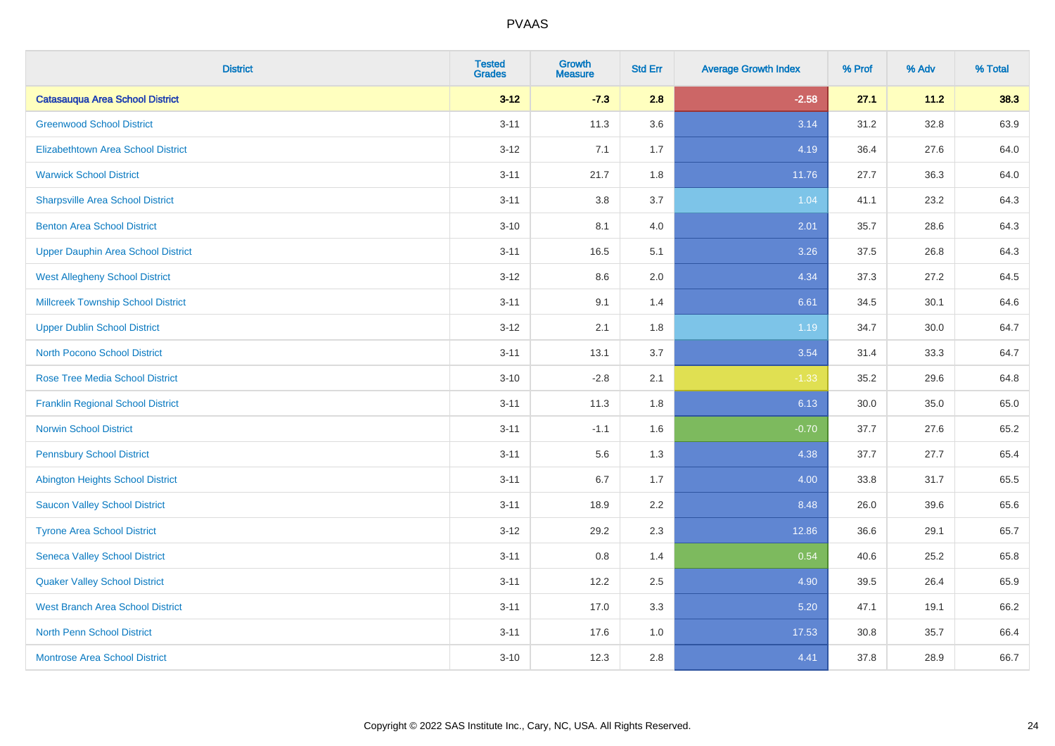| <b>District</b>                           | <b>Tested</b><br><b>Grades</b> | <b>Growth</b><br><b>Measure</b> | <b>Std Err</b> | <b>Average Growth Index</b> | % Prof | % Adv | % Total |
|-------------------------------------------|--------------------------------|---------------------------------|----------------|-----------------------------|--------|-------|---------|
| <b>Catasauqua Area School District</b>    | $3 - 12$                       | $-7.3$                          | 2.8            | $-2.58$                     | 27.1   | 11.2  | 38.3    |
| <b>Greenwood School District</b>          | $3 - 11$                       | 11.3                            | 3.6            | 3.14                        | 31.2   | 32.8  | 63.9    |
| <b>Elizabethtown Area School District</b> | $3 - 12$                       | 7.1                             | 1.7            | 4.19                        | 36.4   | 27.6  | 64.0    |
| <b>Warwick School District</b>            | $3 - 11$                       | 21.7                            | 1.8            | 11.76                       | 27.7   | 36.3  | 64.0    |
| <b>Sharpsville Area School District</b>   | $3 - 11$                       | 3.8                             | 3.7            | 1.04                        | 41.1   | 23.2  | 64.3    |
| <b>Benton Area School District</b>        | $3 - 10$                       | 8.1                             | 4.0            | 2.01                        | 35.7   | 28.6  | 64.3    |
| <b>Upper Dauphin Area School District</b> | $3 - 11$                       | 16.5                            | 5.1            | 3.26                        | 37.5   | 26.8  | 64.3    |
| <b>West Allegheny School District</b>     | $3 - 12$                       | $8.6\,$                         | 2.0            | 4.34                        | 37.3   | 27.2  | 64.5    |
| <b>Millcreek Township School District</b> | $3 - 11$                       | 9.1                             | 1.4            | 6.61                        | 34.5   | 30.1  | 64.6    |
| <b>Upper Dublin School District</b>       | $3 - 12$                       | 2.1                             | 1.8            | 1.19                        | 34.7   | 30.0  | 64.7    |
| <b>North Pocono School District</b>       | $3 - 11$                       | 13.1                            | 3.7            | 3.54                        | 31.4   | 33.3  | 64.7    |
| <b>Rose Tree Media School District</b>    | $3 - 10$                       | $-2.8$                          | 2.1            | $-1.33$                     | 35.2   | 29.6  | 64.8    |
| <b>Franklin Regional School District</b>  | $3 - 11$                       | 11.3                            | 1.8            | 6.13                        | 30.0   | 35.0  | 65.0    |
| <b>Norwin School District</b>             | $3 - 11$                       | $-1.1$                          | 1.6            | $-0.70$                     | 37.7   | 27.6  | 65.2    |
| <b>Pennsbury School District</b>          | $3 - 11$                       | 5.6                             | 1.3            | 4.38                        | 37.7   | 27.7  | 65.4    |
| <b>Abington Heights School District</b>   | $3 - 11$                       | 6.7                             | 1.7            | 4.00                        | 33.8   | 31.7  | 65.5    |
| <b>Saucon Valley School District</b>      | $3 - 11$                       | 18.9                            | 2.2            | 8.48                        | 26.0   | 39.6  | 65.6    |
| <b>Tyrone Area School District</b>        | $3 - 12$                       | 29.2                            | 2.3            | 12.86                       | 36.6   | 29.1  | 65.7    |
| <b>Seneca Valley School District</b>      | $3 - 11$                       | $0.8\,$                         | 1.4            | 0.54                        | 40.6   | 25.2  | 65.8    |
| <b>Quaker Valley School District</b>      | $3 - 11$                       | 12.2                            | 2.5            | 4.90                        | 39.5   | 26.4  | 65.9    |
| <b>West Branch Area School District</b>   | $3 - 11$                       | 17.0                            | 3.3            | 5.20                        | 47.1   | 19.1  | 66.2    |
| North Penn School District                | $3 - 11$                       | 17.6                            | 1.0            | 17.53                       | 30.8   | 35.7  | 66.4    |
| <b>Montrose Area School District</b>      | $3 - 10$                       | 12.3                            | 2.8            | 4.41                        | 37.8   | 28.9  | 66.7    |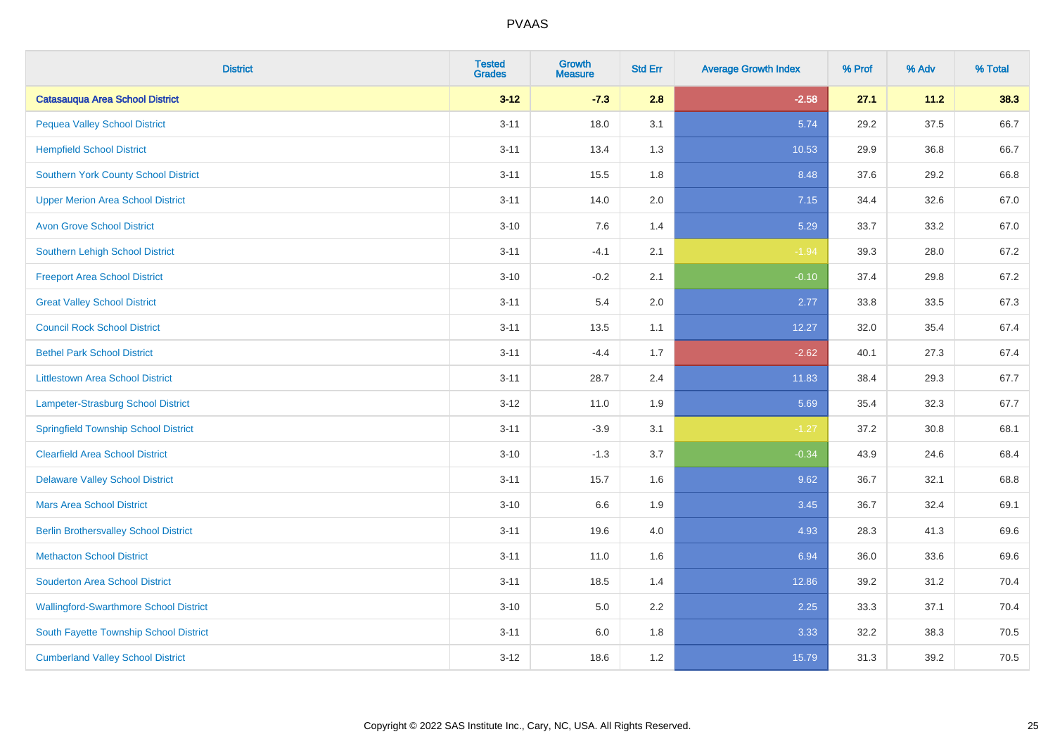| <b>District</b>                               | <b>Tested</b><br><b>Grades</b> | <b>Growth</b><br><b>Measure</b> | <b>Std Err</b> | <b>Average Growth Index</b> | % Prof | % Adv | % Total |
|-----------------------------------------------|--------------------------------|---------------------------------|----------------|-----------------------------|--------|-------|---------|
| <b>Catasauqua Area School District</b>        | $3 - 12$                       | $-7.3$                          | 2.8            | $-2.58$                     | 27.1   | 11.2  | 38.3    |
| <b>Pequea Valley School District</b>          | $3 - 11$                       | 18.0                            | 3.1            | 5.74                        | 29.2   | 37.5  | 66.7    |
| <b>Hempfield School District</b>              | $3 - 11$                       | 13.4                            | 1.3            | 10.53                       | 29.9   | 36.8  | 66.7    |
| <b>Southern York County School District</b>   | $3 - 11$                       | 15.5                            | 1.8            | 8.48                        | 37.6   | 29.2  | 66.8    |
| <b>Upper Merion Area School District</b>      | $3 - 11$                       | 14.0                            | 2.0            | 7.15                        | 34.4   | 32.6  | 67.0    |
| <b>Avon Grove School District</b>             | $3 - 10$                       | 7.6                             | 1.4            | 5.29                        | 33.7   | 33.2  | 67.0    |
| Southern Lehigh School District               | $3 - 11$                       | $-4.1$                          | 2.1            | $-1.94$                     | 39.3   | 28.0  | 67.2    |
| <b>Freeport Area School District</b>          | $3 - 10$                       | $-0.2$                          | 2.1            | $-0.10$                     | 37.4   | 29.8  | 67.2    |
| <b>Great Valley School District</b>           | $3 - 11$                       | 5.4                             | 2.0            | 2.77                        | 33.8   | 33.5  | 67.3    |
| <b>Council Rock School District</b>           | $3 - 11$                       | 13.5                            | 1.1            | 12.27                       | 32.0   | 35.4  | 67.4    |
| <b>Bethel Park School District</b>            | $3 - 11$                       | $-4.4$                          | 1.7            | $-2.62$                     | 40.1   | 27.3  | 67.4    |
| <b>Littlestown Area School District</b>       | $3 - 11$                       | 28.7                            | 2.4            | 11.83                       | 38.4   | 29.3  | 67.7    |
| Lampeter-Strasburg School District            | $3 - 12$                       | 11.0                            | 1.9            | 5.69                        | 35.4   | 32.3  | 67.7    |
| <b>Springfield Township School District</b>   | $3 - 11$                       | $-3.9$                          | 3.1            | $-1.27$                     | 37.2   | 30.8  | 68.1    |
| <b>Clearfield Area School District</b>        | $3 - 10$                       | $-1.3$                          | 3.7            | $-0.34$                     | 43.9   | 24.6  | 68.4    |
| <b>Delaware Valley School District</b>        | $3 - 11$                       | 15.7                            | 1.6            | 9.62                        | 36.7   | 32.1  | 68.8    |
| <b>Mars Area School District</b>              | $3 - 10$                       | 6.6                             | 1.9            | 3.45                        | 36.7   | 32.4  | 69.1    |
| <b>Berlin Brothersvalley School District</b>  | $3 - 11$                       | 19.6                            | 4.0            | 4.93                        | 28.3   | 41.3  | 69.6    |
| <b>Methacton School District</b>              | $3 - 11$                       | 11.0                            | 1.6            | 6.94                        | 36.0   | 33.6  | 69.6    |
| <b>Souderton Area School District</b>         | $3 - 11$                       | 18.5                            | 1.4            | 12.86                       | 39.2   | 31.2  | 70.4    |
| <b>Wallingford-Swarthmore School District</b> | $3 - 10$                       | 5.0                             | 2.2            | 2.25                        | 33.3   | 37.1  | 70.4    |
| South Fayette Township School District        | $3 - 11$                       | 6.0                             | 1.8            | 3.33                        | 32.2   | 38.3  | 70.5    |
| <b>Cumberland Valley School District</b>      | $3 - 12$                       | 18.6                            | 1.2            | 15.79                       | 31.3   | 39.2  | 70.5    |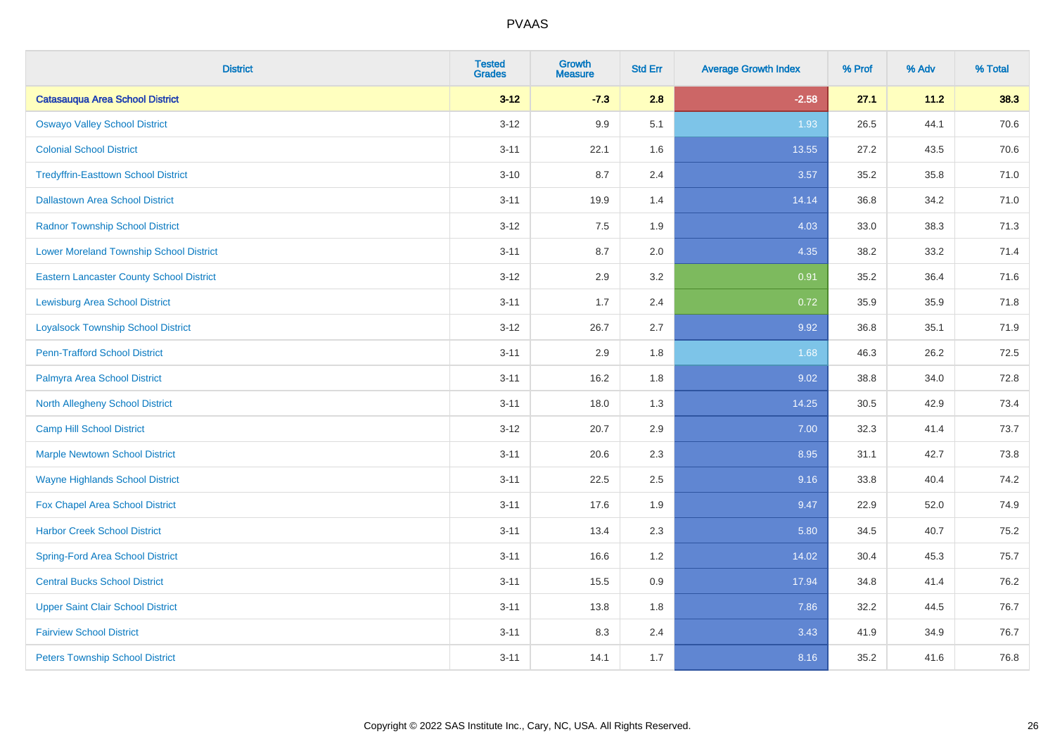| <b>District</b>                                 | <b>Tested</b><br><b>Grades</b> | <b>Growth</b><br><b>Measure</b> | <b>Std Err</b> | <b>Average Growth Index</b> | % Prof | % Adv | % Total |
|-------------------------------------------------|--------------------------------|---------------------------------|----------------|-----------------------------|--------|-------|---------|
| <b>Catasauqua Area School District</b>          | $3 - 12$                       | $-7.3$                          | 2.8            | $-2.58$                     | 27.1   | 11.2  | 38.3    |
| <b>Oswayo Valley School District</b>            | $3 - 12$                       | 9.9                             | 5.1            | 1.93                        | 26.5   | 44.1  | 70.6    |
| <b>Colonial School District</b>                 | $3 - 11$                       | 22.1                            | 1.6            | 13.55                       | 27.2   | 43.5  | 70.6    |
| <b>Tredyffrin-Easttown School District</b>      | $3 - 10$                       | 8.7                             | 2.4            | 3.57                        | 35.2   | 35.8  | 71.0    |
| <b>Dallastown Area School District</b>          | $3 - 11$                       | 19.9                            | 1.4            | 14.14                       | 36.8   | 34.2  | 71.0    |
| <b>Radnor Township School District</b>          | $3 - 12$                       | 7.5                             | 1.9            | 4.03                        | 33.0   | 38.3  | 71.3    |
| <b>Lower Moreland Township School District</b>  | $3 - 11$                       | 8.7                             | 2.0            | 4.35                        | 38.2   | 33.2  | 71.4    |
| <b>Eastern Lancaster County School District</b> | $3 - 12$                       | 2.9                             | 3.2            | 0.91                        | 35.2   | 36.4  | 71.6    |
| <b>Lewisburg Area School District</b>           | $3 - 11$                       | 1.7                             | 2.4            | 0.72                        | 35.9   | 35.9  | 71.8    |
| <b>Loyalsock Township School District</b>       | $3-12$                         | 26.7                            | 2.7            | 9.92                        | 36.8   | 35.1  | 71.9    |
| <b>Penn-Trafford School District</b>            | $3 - 11$                       | 2.9                             | 1.8            | 1.68                        | 46.3   | 26.2  | 72.5    |
| Palmyra Area School District                    | $3 - 11$                       | 16.2                            | 1.8            | 9.02                        | 38.8   | 34.0  | 72.8    |
| North Allegheny School District                 | $3 - 11$                       | 18.0                            | 1.3            | 14.25                       | 30.5   | 42.9  | 73.4    |
| <b>Camp Hill School District</b>                | $3 - 12$                       | 20.7                            | 2.9            | 7.00                        | 32.3   | 41.4  | 73.7    |
| <b>Marple Newtown School District</b>           | $3 - 11$                       | 20.6                            | 2.3            | 8.95                        | 31.1   | 42.7  | 73.8    |
| <b>Wayne Highlands School District</b>          | $3 - 11$                       | 22.5                            | 2.5            | 9.16                        | 33.8   | 40.4  | 74.2    |
| Fox Chapel Area School District                 | $3 - 11$                       | 17.6                            | 1.9            | 9.47                        | 22.9   | 52.0  | 74.9    |
| <b>Harbor Creek School District</b>             | $3 - 11$                       | 13.4                            | 2.3            | 5.80                        | 34.5   | 40.7  | 75.2    |
| <b>Spring-Ford Area School District</b>         | $3 - 11$                       | 16.6                            | 1.2            | 14.02                       | 30.4   | 45.3  | 75.7    |
| <b>Central Bucks School District</b>            | $3 - 11$                       | 15.5                            | 0.9            | 17.94                       | 34.8   | 41.4  | 76.2    |
| <b>Upper Saint Clair School District</b>        | $3 - 11$                       | 13.8                            | 1.8            | 7.86                        | 32.2   | 44.5  | 76.7    |
| <b>Fairview School District</b>                 | $3 - 11$                       | 8.3                             | 2.4            | 3.43                        | 41.9   | 34.9  | 76.7    |
| <b>Peters Township School District</b>          | $3 - 11$                       | 14.1                            | 1.7            | 8.16                        | 35.2   | 41.6  | 76.8    |